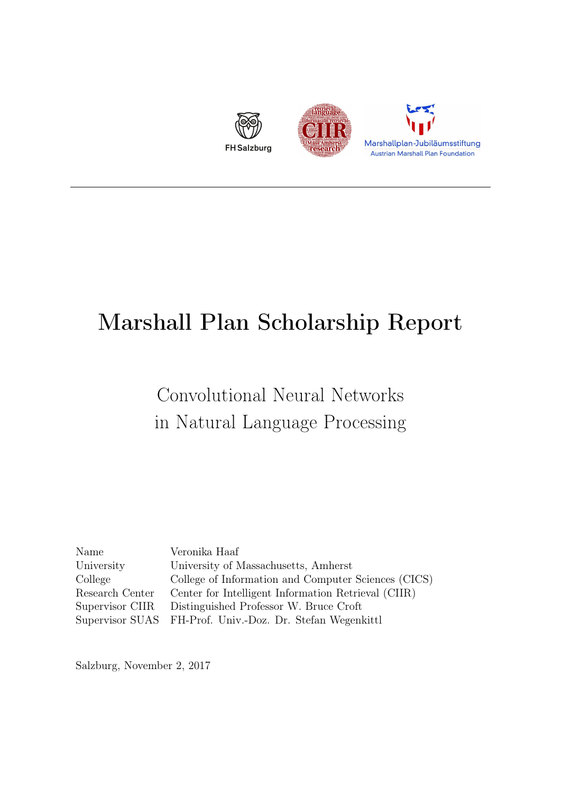

## Marshall Plan Scholarship Report

## Convolutional Neural Networks in Natural Language Processing

| Name            | Veronika Haaf                                             |
|-----------------|-----------------------------------------------------------|
| University      | University of Massachusetts, Amherst                      |
| College         | College of Information and Computer Sciences (CICS)       |
| Research Center | Center for Intelligent Information Retrieval (CIIR)       |
| Supervisor CIIR | Distinguished Professor W. Bruce Croft                    |
|                 | Supervisor SUAS FH-Prof. Univ.-Doz. Dr. Stefan Wegenkittl |

Salzburg, November 2, 2017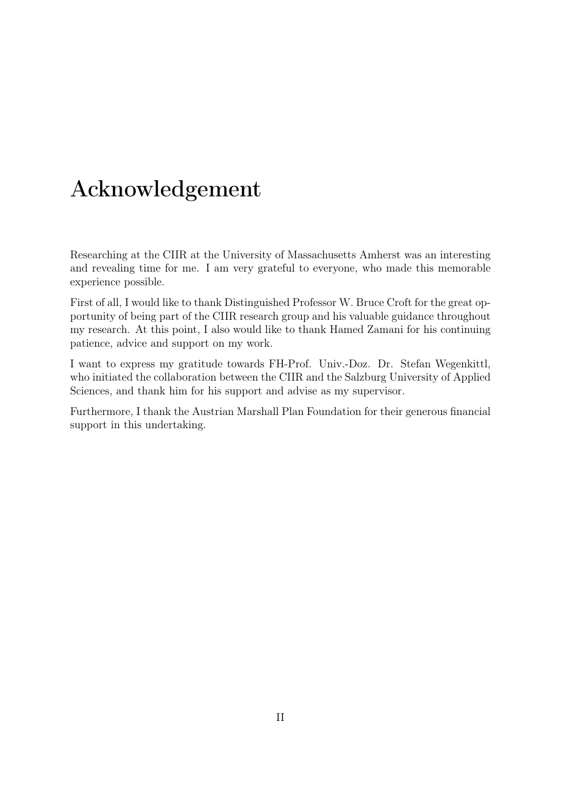## Acknowledgement

Researching at the CIIR at the University of Massachusetts Amherst was an interesting and revealing time for me. I am very grateful to everyone, who made this memorable experience possible.

First of all, I would like to thank Distinguished Professor W. Bruce Croft for the great opportunity of being part of the CIIR research group and his valuable guidance throughout my research. At this point, I also would like to thank Hamed Zamani for his continuing patience, advice and support on my work.

I want to express my gratitude towards FH-Prof. Univ.-Doz. Dr. Stefan Wegenkittl, who initiated the collaboration between the CIIR and the Salzburg University of Applied Sciences, and thank him for his support and advise as my supervisor.

Furthermore, I thank the Austrian Marshall Plan Foundation for their generous financial support in this undertaking.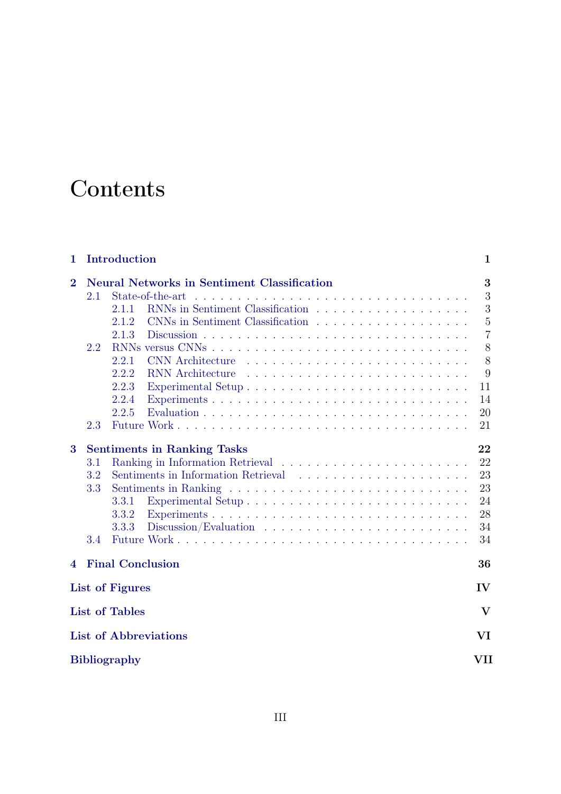## **Contents**

| 1              |     | Introduction          |                                                    | $\mathbf{1}$   |
|----------------|-----|-----------------------|----------------------------------------------------|----------------|
| $\overline{2}$ |     |                       | <b>Neural Networks in Sentiment Classification</b> | 3              |
|                | 2.1 |                       | State-of-the-art<br>$\mathcal{L}^{\text{max}}$     | 3              |
|                |     | 2.1.1                 |                                                    | 3              |
|                |     | 2.1.2                 |                                                    | $\overline{5}$ |
|                |     | 2.1.3                 |                                                    | $\overline{7}$ |
|                | 2.2 |                       |                                                    | 8              |
|                |     | 2.2.1                 | <b>CNN</b> Architecture                            | 8              |
|                |     | 2.2.2                 | <b>RNN</b> Architecture                            | 9              |
|                |     | 2.2.3                 |                                                    | 11             |
|                |     | 2.2.4                 |                                                    | 14             |
|                |     | 2.2.5                 |                                                    | 20             |
|                | 2.3 |                       |                                                    | 21             |
| 3              |     |                       | <b>Sentiments in Ranking Tasks</b>                 | 22             |
|                | 3.1 |                       |                                                    | 22             |
|                | 3.2 |                       | Sentiments in Information Retrieval                | 23             |
|                | 3.3 |                       |                                                    | 23             |
|                |     | 3.3.1                 |                                                    | 24             |
|                |     | 3.3.2                 |                                                    | 28             |
|                |     | 3.3.3                 |                                                    | 34             |
|                | 3.4 |                       |                                                    | 34             |
| 4              |     |                       | <b>Final Conclusion</b>                            | 36             |
|                |     | List of Figures       |                                                    | IV             |
|                |     | <b>List of Tables</b> |                                                    | $\bf{V}$       |
|                |     |                       | <b>List of Abbreviations</b>                       | VI             |
|                |     | <b>Bibliography</b>   |                                                    | VII            |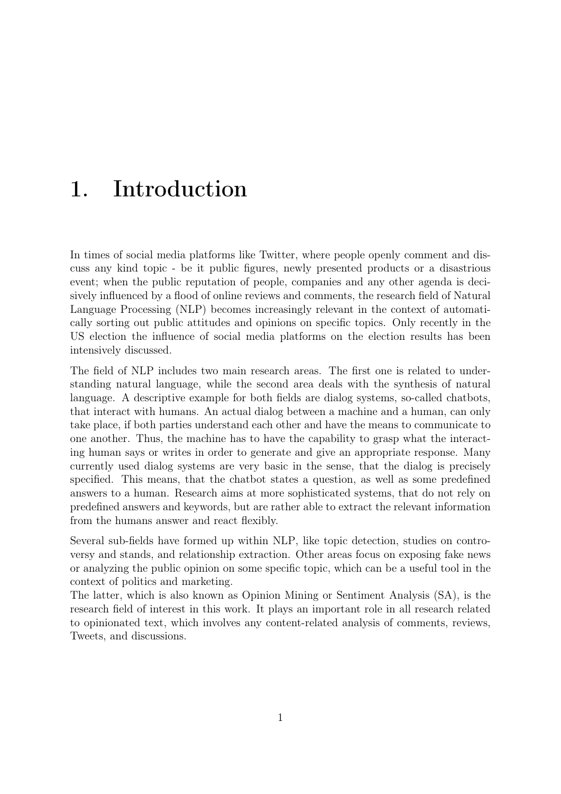## <span id="page-3-0"></span>1. Introduction

In times of social media platforms like Twitter, where people openly comment and discuss any kind topic - be it public figures, newly presented products or a disastrious event; when the public reputation of people, companies and any other agenda is decisively influenced by a flood of online reviews and comments, the research field of Natural Language Processing (NLP) becomes increasingly relevant in the context of automatically sorting out public attitudes and opinions on specific topics. Only recently in the US election the influence of social media platforms on the election results has been intensively discussed.

The field of NLP includes two main research areas. The first one is related to understanding natural language, while the second area deals with the synthesis of natural language. A descriptive example for both fields are dialog systems, so-called chatbots, that interact with humans. An actual dialog between a machine and a human, can only take place, if both parties understand each other and have the means to communicate to one another. Thus, the machine has to have the capability to grasp what the interacting human says or writes in order to generate and give an appropriate response. Many currently used dialog systems are very basic in the sense, that the dialog is precisely specified. This means, that the chatbot states a question, as well as some predefined answers to a human. Research aims at more sophisticated systems, that do not rely on predefined answers and keywords, but are rather able to extract the relevant information from the humans answer and react flexibly.

Several sub-fields have formed up within NLP, like topic detection, studies on controversy and stands, and relationship extraction. Other areas focus on exposing fake news or analyzing the public opinion on some specific topic, which can be a useful tool in the context of politics and marketing.

The latter, which is also known as Opinion Mining or Sentiment Analysis (SA), is the research field of interest in this work. It plays an important role in all research related to opinionated text, which involves any content-related analysis of comments, reviews, Tweets, and discussions.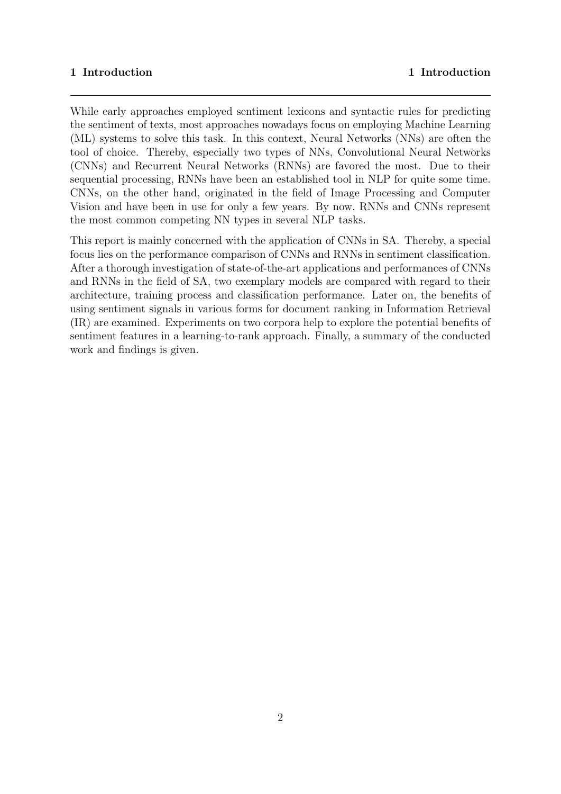#### 1 Introduction 1 Introduction

While early approaches employed sentiment lexicons and syntactic rules for predicting the sentiment of texts, most approaches nowadays focus on employing Machine Learning (ML) systems to solve this task. In this context, Neural Networks (NNs) are often the tool of choice. Thereby, especially two types of NNs, Convolutional Neural Networks (CNNs) and Recurrent Neural Networks (RNNs) are favored the most. Due to their sequential processing, RNNs have been an established tool in NLP for quite some time. CNNs, on the other hand, originated in the field of Image Processing and Computer Vision and have been in use for only a few years. By now, RNNs and CNNs represent the most common competing NN types in several NLP tasks.

This report is mainly concerned with the application of CNNs in SA. Thereby, a special focus lies on the performance comparison of CNNs and RNNs in sentiment classification. After a thorough investigation of state-of-the-art applications and performances of CNNs and RNNs in the field of SA, two exemplary models are compared with regard to their architecture, training process and classification performance. Later on, the benefits of using sentiment signals in various forms for document ranking in Information Retrieval (IR) are examined. Experiments on two corpora help to explore the potential benefits of sentiment features in a learning-to-rank approach. Finally, a summary of the conducted work and findings is given.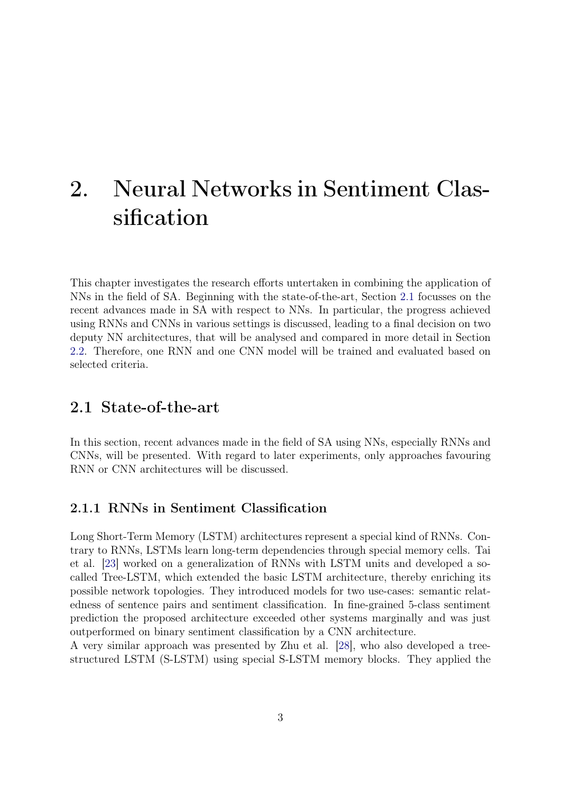## <span id="page-5-0"></span>2. Neural Networks in Sentiment Classification

This chapter investigates the research efforts untertaken in combining the application of NNs in the field of SA. Beginning with the state-of-the-art, Section [2.1](#page-5-1) focusses on the recent advances made in SA with respect to NNs. In particular, the progress achieved using RNNs and CNNs in various settings is discussed, leading to a final decision on two deputy NN architectures, that will be analysed and compared in more detail in Section [2.2.](#page-9-0) Therefore, one RNN and one CNN model will be trained and evaluated based on selected criteria.

### <span id="page-5-1"></span>2.1 State-of-the-art

In this section, recent advances made in the field of SA using NNs, especially RNNs and CNNs, will be presented. With regard to later experiments, only approaches favouring RNN or CNN architectures will be discussed.

#### <span id="page-5-2"></span>2.1.1 RNNs in Sentiment Classification

Long Short-Term Memory (LSTM) architectures represent a special kind of RNNs. Contrary to RNNs, LSTMs learn long-term dependencies through special memory cells. Tai et al. [\[23\]](#page-44-0) worked on a generalization of RNNs with LSTM units and developed a socalled Tree-LSTM, which extended the basic LSTM architecture, thereby enriching its possible network topologies. They introduced models for two use-cases: semantic relatedness of sentence pairs and sentiment classification. In fine-grained 5-class sentiment prediction the proposed architecture exceeded other systems marginally and was just outperformed on binary sentiment classification by a CNN architecture.

A very similar approach was presented by Zhu et al. [\[28\]](#page-45-0), who also developed a treestructured LSTM (S-LSTM) using special S-LSTM memory blocks. They applied the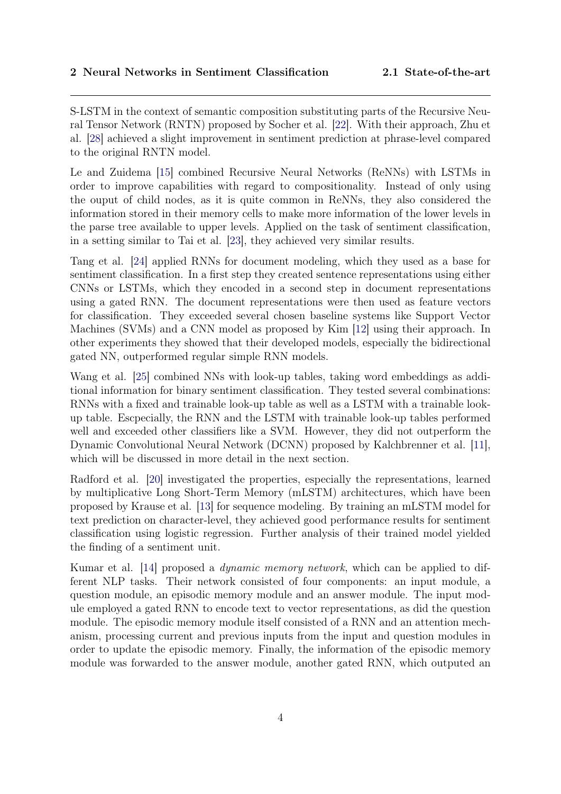S-LSTM in the context of semantic composition substituting parts of the Recursive Neural Tensor Network (RNTN) proposed by Socher et al. [\[22\]](#page-44-1). With their approach, Zhu et al. [\[28\]](#page-45-0) achieved a slight improvement in sentiment prediction at phrase-level compared to the original RNTN model.

Le and Zuidema [\[15\]](#page-43-0) combined Recursive Neural Networks (ReNNs) with LSTMs in order to improve capabilities with regard to compositionality. Instead of only using the ouput of child nodes, as it is quite common in ReNNs, they also considered the information stored in their memory cells to make more information of the lower levels in the parse tree available to upper levels. Applied on the task of sentiment classification, in a setting similar to Tai et al. [\[23\]](#page-44-0), they achieved very similar results.

Tang et al. [\[24\]](#page-44-2) applied RNNs for document modeling, which they used as a base for sentiment classification. In a first step they created sentence representations using either CNNs or LSTMs, which they encoded in a second step in document representations using a gated RNN. The document representations were then used as feature vectors for classification. They exceeded several chosen baseline systems like Support Vector Machines (SVMs) and a CNN model as proposed by Kim [\[12\]](#page-43-1) using their approach. In other experiments they showed that their developed models, especially the bidirectional gated NN, outperformed regular simple RNN models.

Wang et al. [\[25\]](#page-44-3) combined NNs with look-up tables, taking word embeddings as additional information for binary sentiment classification. They tested several combinations: RNNs with a fixed and trainable look-up table as well as a LSTM with a trainable lookup table. Escpecially, the RNN and the LSTM with trainable look-up tables performed well and exceeded other classifiers like a SVM. However, they did not outperform the Dynamic Convolutional Neural Network (DCNN) proposed by Kalchbrenner et al. [\[11\]](#page-43-2), which will be discussed in more detail in the next section.

Radford et al. [\[20\]](#page-44-4) investigated the properties, especially the representations, learned by multiplicative Long Short-Term Memory (mLSTM) architectures, which have been proposed by Krause et al. [\[13\]](#page-43-3) for sequence modeling. By training an mLSTM model for text prediction on character-level, they achieved good performance results for sentiment classification using logistic regression. Further analysis of their trained model yielded the finding of a sentiment unit.

Kumar et al. [\[14\]](#page-43-4) proposed a *dynamic memory network*, which can be applied to different NLP tasks. Their network consisted of four components: an input module, a question module, an episodic memory module and an answer module. The input module employed a gated RNN to encode text to vector representations, as did the question module. The episodic memory module itself consisted of a RNN and an attention mechanism, processing current and previous inputs from the input and question modules in order to update the episodic memory. Finally, the information of the episodic memory module was forwarded to the answer module, another gated RNN, which outputed an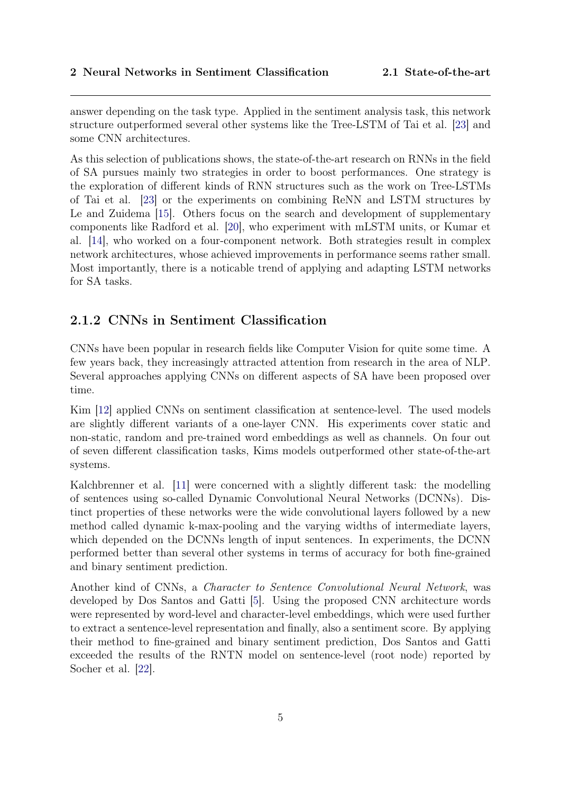answer depending on the task type. Applied in the sentiment analysis task, this network structure outperformed several other systems like the Tree-LSTM of Tai et al. [\[23\]](#page-44-0) and some CNN architectures.

As this selection of publications shows, the state-of-the-art research on RNNs in the field of SA pursues mainly two strategies in order to boost performances. One strategy is the exploration of different kinds of RNN structures such as the work on Tree-LSTMs of Tai et al. [\[23\]](#page-44-0) or the experiments on combining ReNN and LSTM structures by Le and Zuidema [\[15\]](#page-43-0). Others focus on the search and development of supplementary components like Radford et al. [\[20\]](#page-44-4), who experiment with mLSTM units, or Kumar et al. [\[14\]](#page-43-4), who worked on a four-component network. Both strategies result in complex network architectures, whose achieved improvements in performance seems rather small. Most importantly, there is a noticable trend of applying and adapting LSTM networks for SA tasks.

### <span id="page-7-0"></span>2.1.2 CNNs in Sentiment Classification

CNNs have been popular in research fields like Computer Vision for quite some time. A few years back, they increasingly attracted attention from research in the area of NLP. Several approaches applying CNNs on different aspects of SA have been proposed over time.

Kim [\[12\]](#page-43-1) applied CNNs on sentiment classification at sentence-level. The used models are slightly different variants of a one-layer CNN. His experiments cover static and non-static, random and pre-trained word embeddings as well as channels. On four out of seven different classification tasks, Kims models outperformed other state-of-the-art systems.

Kalchbrenner et al. [\[11\]](#page-43-2) were concerned with a slightly different task: the modelling of sentences using so-called Dynamic Convolutional Neural Networks (DCNNs). Distinct properties of these networks were the wide convolutional layers followed by a new method called dynamic k-max-pooling and the varying widths of intermediate layers, which depended on the DCNNs length of input sentences. In experiments, the DCNN performed better than several other systems in terms of accuracy for both fine-grained and binary sentiment prediction.

Another kind of CNNs, a Character to Sentence Convolutional Neural Network, was developed by Dos Santos and Gatti [\[5\]](#page-42-1). Using the proposed CNN architecture words were represented by word-level and character-level embeddings, which were used further to extract a sentence-level representation and finally, also a sentiment score. By applying their method to fine-grained and binary sentiment prediction, Dos Santos and Gatti exceeded the results of the RNTN model on sentence-level (root node) reported by Socher et al. [\[22\]](#page-44-1).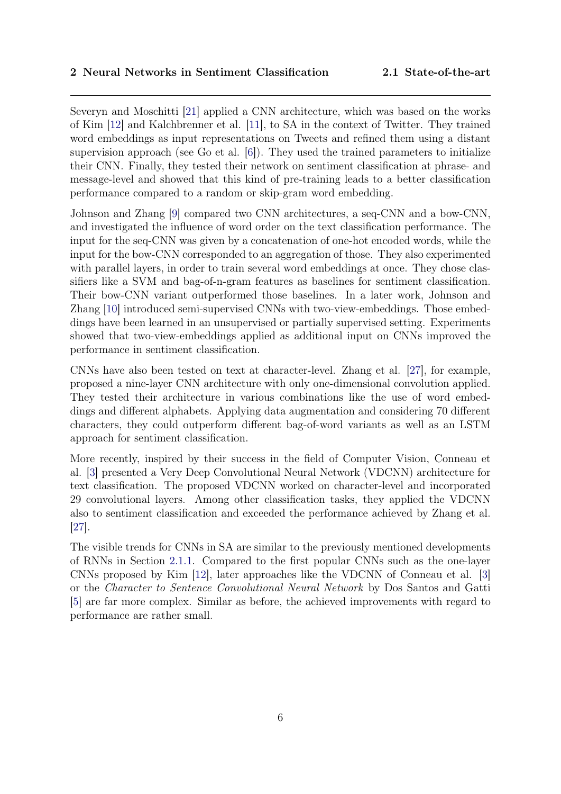Severyn and Moschitti [\[21\]](#page-44-5) applied a CNN architecture, which was based on the works of Kim [\[12\]](#page-43-1) and Kalchbrenner et al. [\[11\]](#page-43-2), to SA in the context of Twitter. They trained word embeddings as input representations on Tweets and refined them using a distant supervision approach (see Go et al. [\[6\]](#page-42-2)). They used the trained parameters to initialize their CNN. Finally, they tested their network on sentiment classification at phrase- and message-level and showed that this kind of pre-training leads to a better classification performance compared to a random or skip-gram word embedding.

Johnson and Zhang [\[9\]](#page-43-5) compared two CNN architectures, a seq-CNN and a bow-CNN, and investigated the influence of word order on the text classification performance. The input for the seq-CNN was given by a concatenation of one-hot encoded words, while the input for the bow-CNN corresponded to an aggregation of those. They also experimented with parallel layers, in order to train several word embeddings at once. They chose classifiers like a SVM and bag-of-n-gram features as baselines for sentiment classification. Their bow-CNN variant outperformed those baselines. In a later work, Johnson and Zhang [\[10\]](#page-43-6) introduced semi-supervised CNNs with two-view-embeddings. Those embeddings have been learned in an unsupervised or partially supervised setting. Experiments showed that two-view-embeddings applied as additional input on CNNs improved the performance in sentiment classification.

CNNs have also been tested on text at character-level. Zhang et al. [\[27\]](#page-44-6), for example, proposed a nine-layer CNN architecture with only one-dimensional convolution applied. They tested their architecture in various combinations like the use of word embeddings and different alphabets. Applying data augmentation and considering 70 different characters, they could outperform different bag-of-word variants as well as an LSTM approach for sentiment classification.

More recently, inspired by their success in the field of Computer Vision, Conneau et al. [\[3\]](#page-42-3) presented a Very Deep Convolutional Neural Network (VDCNN) architecture for text classification. The proposed VDCNN worked on character-level and incorporated 29 convolutional layers. Among other classification tasks, they applied the VDCNN also to sentiment classification and exceeded the performance achieved by Zhang et al. [\[27\]](#page-44-6).

<span id="page-8-0"></span>The visible trends for CNNs in SA are similar to the previously mentioned developments of RNNs in Section [2.1.1.](#page-5-2) Compared to the first popular CNNs such as the one-layer CNNs proposed by Kim [\[12\]](#page-43-1), later approaches like the VDCNN of Conneau et al. [\[3\]](#page-42-3) or the Character to Sentence Convolutional Neural Network by Dos Santos and Gatti [\[5\]](#page-42-1) are far more complex. Similar as before, the achieved improvements with regard to performance are rather small.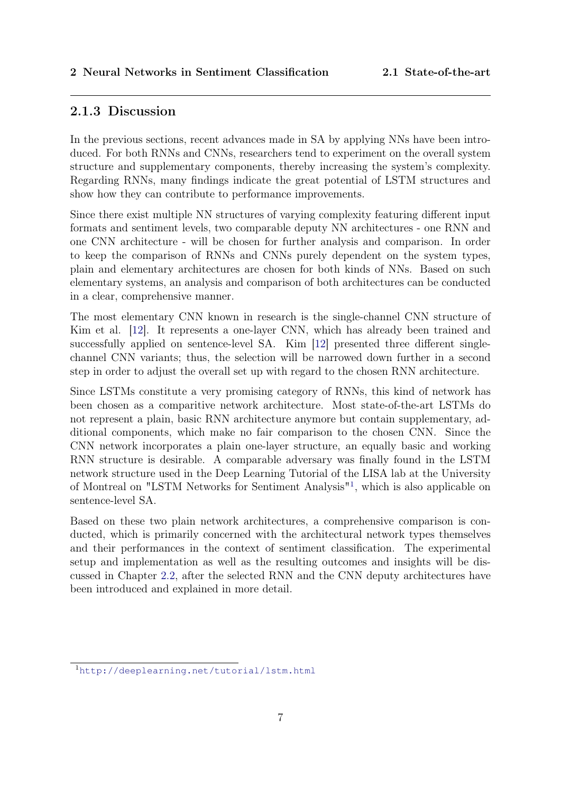#### 2.1.3 Discussion

In the previous sections, recent advances made in SA by applying NNs have been introduced. For both RNNs and CNNs, researchers tend to experiment on the overall system structure and supplementary components, thereby increasing the system's complexity. Regarding RNNs, many findings indicate the great potential of LSTM structures and show how they can contribute to performance improvements.

Since there exist multiple NN structures of varying complexity featuring different input formats and sentiment levels, two comparable deputy NN architectures - one RNN and one CNN architecture - will be chosen for further analysis and comparison. In order to keep the comparison of RNNs and CNNs purely dependent on the system types, plain and elementary architectures are chosen for both kinds of NNs. Based on such elementary systems, an analysis and comparison of both architectures can be conducted in a clear, comprehensive manner.

The most elementary CNN known in research is the single-channel CNN structure of Kim et al. [\[12\]](#page-43-1). It represents a one-layer CNN, which has already been trained and successfully applied on sentence-level SA. Kim [\[12\]](#page-43-1) presented three different singlechannel CNN variants; thus, the selection will be narrowed down further in a second step in order to adjust the overall set up with regard to the chosen RNN architecture.

Since LSTMs constitute a very promising category of RNNs, this kind of network has been chosen as a comparitive network architecture. Most state-of-the-art LSTMs do not represent a plain, basic RNN architecture anymore but contain supplementary, additional components, which make no fair comparison to the chosen CNN. Since the CNN network incorporates a plain one-layer structure, an equally basic and working RNN structure is desirable. A comparable adversary was finally found in the LSTM network structure used in the Deep Learning Tutorial of the LISA lab at the University of Montreal on "LSTM Networks for Sentiment Analysis"[1](#page-9-1) , which is also applicable on sentence-level SA.

Based on these two plain network architectures, a comprehensive comparison is conducted, which is primarily concerned with the architectural network types themselves and their performances in the context of sentiment classification. The experimental setup and implementation as well as the resulting outcomes and insights will be discussed in Chapter [2.2,](#page-9-0) after the selected RNN and the CNN deputy architectures have been introduced and explained in more detail.

<span id="page-9-1"></span><span id="page-9-0"></span><sup>1</sup><http://deeplearning.net/tutorial/lstm.html>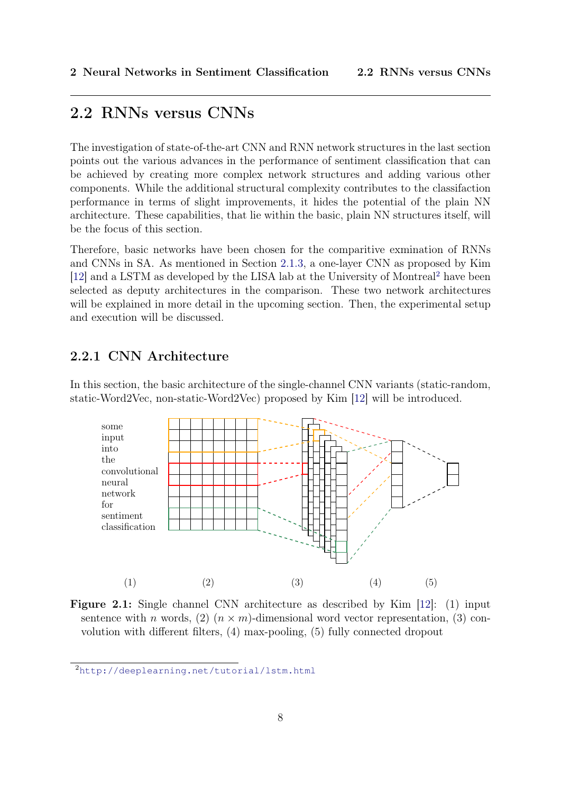### 2.2 RNNs versus CNNs

The investigation of state-of-the-art CNN and RNN network structures in the last section points out the various advances in the performance of sentiment classification that can be achieved by creating more complex network structures and adding various other components. While the additional structural complexity contributes to the classifaction performance in terms of slight improvements, it hides the potential of the plain NN architecture. These capabilities, that lie within the basic, plain NN structures itself, will be the focus of this section.

Therefore, basic networks have been chosen for the comparitive exmination of RNNs and CNNs in SA. As mentioned in Section [2.1.3,](#page-8-0) a one-layer CNN as proposed by Kim [\[12\]](#page-43-1) and a LSTM as developed by the LISA lab at the University of Montreal[2](#page-10-1) have been selected as deputy architectures in the comparison. These two network architectures will be explained in more detail in the upcoming section. Then, the experimental setup and execution will be discussed.

### <span id="page-10-0"></span>2.2.1 CNN Architecture

In this section, the basic architecture of the single-channel CNN variants (static-random, static-Word2Vec, non-static-Word2Vec) proposed by Kim [\[12\]](#page-43-1) will be introduced.

<span id="page-10-2"></span>

Figure 2.1: Single channel CNN architecture as described by Kim [\[12\]](#page-43-1): (1) input sentence with n words, (2)  $(n \times m)$ -dimensional word vector representation, (3) convolution with different filters, (4) max-pooling, (5) fully connected dropout

<span id="page-10-1"></span><sup>2</sup><http://deeplearning.net/tutorial/lstm.html>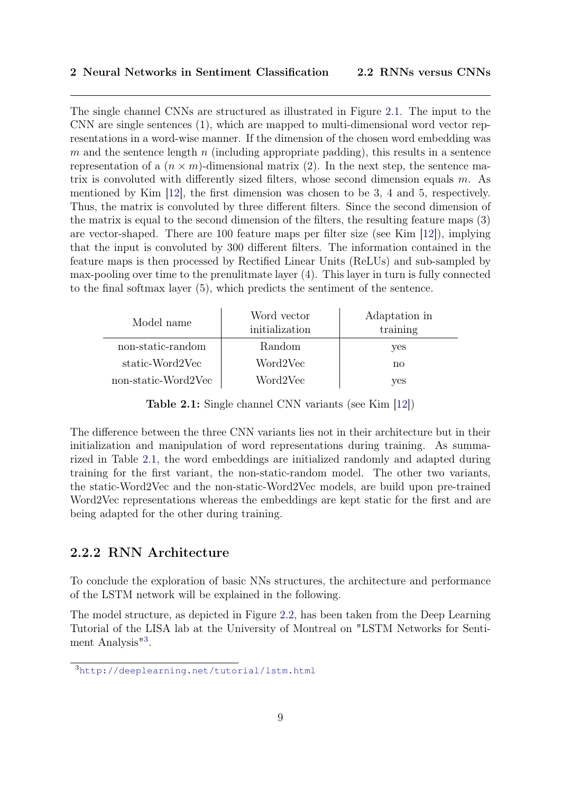The single channel CNNs are structured as illustrated in Figure [2.1.](#page-10-2) The input to the CNN are single sentences (1), which are mapped to multi-dimensional word vector representations in a word-wise manner. If the dimension of the chosen word embedding was m and the sentence length n (including appropriate padding), this results in a sentence representation of a  $(n \times m)$ -dimensional matrix (2). In the next step, the sentence matrix is convoluted with differently sized filters, whose second dimension equals  $m$ . As mentioned by Kim [\[12\]](#page-43-1), the first dimension was chosen to be 3, 4 and 5, respectively. Thus, the matrix is convoluted by three different filters. Since the second dimension of the matrix is equal to the second dimension of the filters, the resulting feature maps (3) are vector-shaped. There are 100 feature maps per filter size (see Kim [\[12\]](#page-43-1)), implying that the input is convoluted by 300 different filters. The information contained in the feature maps is then processed by Rectified Linear Units (ReLUs) and sub-sampled by max-pooling over time to the prenulitmate layer (4). This layer in turn is fully connected to the final softmax layer (5), which predicts the sentiment of the sentence.

<span id="page-11-1"></span>

| Model name          | Word vector<br>initialization | Adaptation in<br>training |
|---------------------|-------------------------------|---------------------------|
| non-static-random   | Random                        | yes                       |
| static-Word2Vec     | Word2Vec                      | no                        |
| non-static-Word2Vec | Word2Vec                      | yes                       |

Table 2.1: Single channel CNN variants (see Kim [\[12\]](#page-43-1))

The difference between the three CNN variants lies not in their architecture but in their initialization and manipulation of word representations during training. As summarized in Table [2.1,](#page-11-1) the word embeddings are initialized randomly and adapted during training for the first variant, the non-static-random model. The other two variants, the static-Word2Vec and the non-static-Word2Vec models, are build upon pre-trained Word2Vec representations whereas the embeddings are kept static for the first and are being adapted for the other during training.

#### <span id="page-11-0"></span>2.2.2 RNN Architecture

To conclude the exploration of basic NNs structures, the architecture and performance of the LSTM network will be explained in the following.

The model structure, as depicted in Figure [2.2,](#page-12-1) has been taken from the Deep Learning Tutorial of the LISA lab at the University of Montreal on "LSTM Networks for Senti-ment Analysis<sup>"[3](#page-11-2)</sup>.

<span id="page-11-2"></span><sup>3</sup><http://deeplearning.net/tutorial/lstm.html>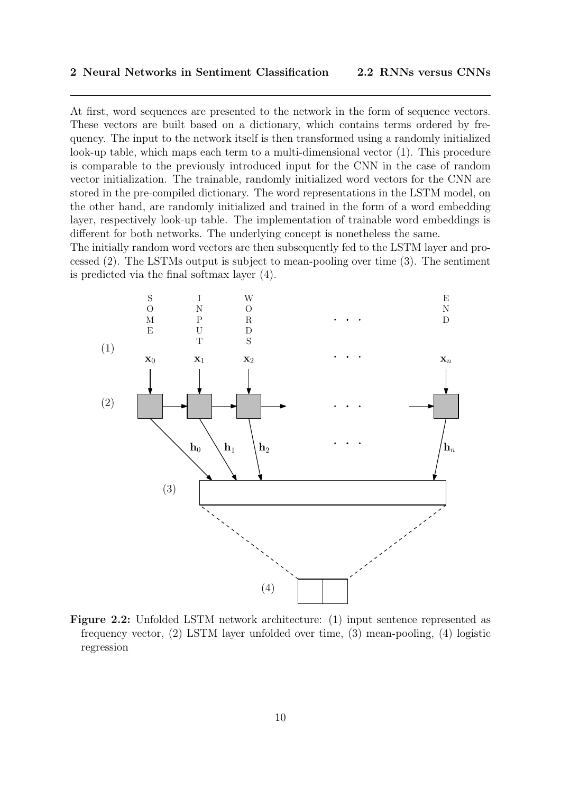At first, word sequences are presented to the network in the form of sequence vectors. These vectors are built based on a dictionary, which contains terms ordered by frequency. The input to the network itself is then transformed using a randomly initialized look-up table, which maps each term to a multi-dimensional vector (1). This procedure is comparable to the previously introduced input for the CNN in the case of random vector initialization. The trainable, randomly initialized word vectors for the CNN are stored in the pre-compiled dictionary. The word representations in the LSTM model, on the other hand, are randomly initialized and trained in the form of a word embedding layer, respectively look-up table. The implementation of trainable word embeddings is different for both networks. The underlying concept is nonetheless the same.

The initially random word vectors are then subsequently fed to the LSTM layer and processed (2). The LSTMs output is subject to mean-pooling over time (3). The sentiment is predicted via the final softmax layer (4).

<span id="page-12-1"></span>

<span id="page-12-0"></span>Figure 2.2: Unfolded LSTM network architecture: (1) input sentence represented as frequency vector, (2) LSTM layer unfolded over time, (3) mean-pooling, (4) logistic regression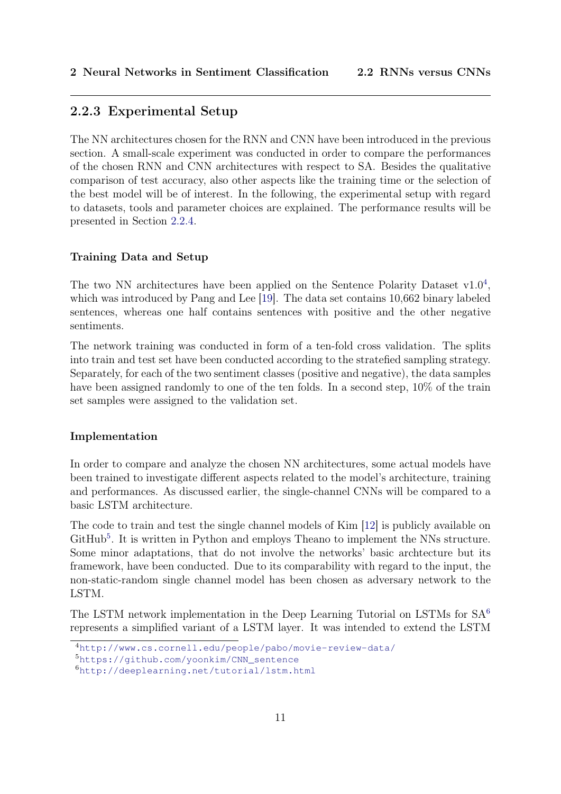#### 2.2.3 Experimental Setup

The NN architectures chosen for the RNN and CNN have been introduced in the previous section. A small-scale experiment was conducted in order to compare the performances of the chosen RNN and CNN architectures with respect to SA. Besides the qualitative comparison of test accuracy, also other aspects like the training time or the selection of the best model will be of interest. In the following, the experimental setup with regard to datasets, tools and parameter choices are explained. The performance results will be presented in Section [2.2.4.](#page-16-0)

#### Training Data and Setup

The two NN architectures have been applied on the Sentence Polarity Dataset  $v1.0<sup>4</sup>$  $v1.0<sup>4</sup>$  $v1.0<sup>4</sup>$ , which was introduced by Pang and Lee [\[19\]](#page-44-7). The data set contains 10,662 binary labeled sentences, whereas one half contains sentences with positive and the other negative sentiments.

The network training was conducted in form of a ten-fold cross validation. The splits into train and test set have been conducted according to the stratefied sampling strategy. Separately, for each of the two sentiment classes (positive and negative), the data samples have been assigned randomly to one of the ten folds. In a second step,  $10\%$  of the train set samples were assigned to the validation set.

#### Implementation

In order to compare and analyze the chosen NN architectures, some actual models have been trained to investigate different aspects related to the model's architecture, training and performances. As discussed earlier, the single-channel CNNs will be compared to a basic LSTM architecture.

The code to train and test the single channel models of Kim [\[12\]](#page-43-1) is publicly available on GitHub<sup>[5](#page-13-1)</sup>. It is written in Python and employs Theano to implement the NNs structure. Some minor adaptations, that do not involve the networks' basic archtecture but its framework, have been conducted. Due to its comparability with regard to the input, the non-static-random single channel model has been chosen as adversary network to the LSTM.

The LSTM network implementation in the Deep Learning Tutorial on LSTMs for SA[6](#page-13-2) represents a simplified variant of a LSTM layer. It was intended to extend the LSTM

<span id="page-13-0"></span><sup>4</sup><http://www.cs.cornell.edu/people/pabo/movie-review-data/>

<span id="page-13-1"></span><sup>5</sup>[https://github.com/yoonkim/CNN\\_sentence](https://github.com/yoonkim/CNN_sentence)

<span id="page-13-2"></span><sup>6</sup><http://deeplearning.net/tutorial/lstm.html>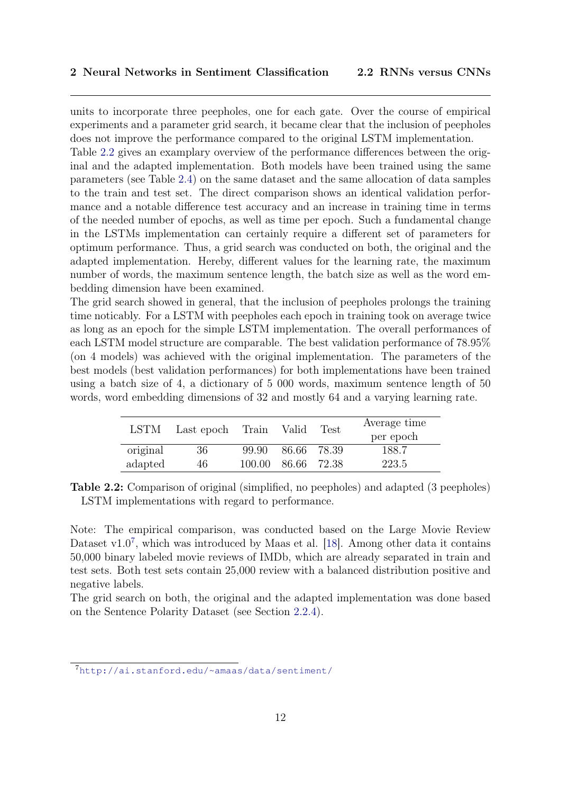units to incorporate three peepholes, one for each gate. Over the course of empirical experiments and a parameter grid search, it became clear that the inclusion of peepholes does not improve the performance compared to the original LSTM implementation.

Table [2.2](#page-14-0) gives an examplary overview of the performance differences between the original and the adapted implementation. Both models have been trained using the same parameters (see Table [2.4\)](#page-15-0) on the same dataset and the same allocation of data samples to the train and test set. The direct comparison shows an identical validation performance and a notable difference test accuracy and an increase in training time in terms of the needed number of epochs, as well as time per epoch. Such a fundamental change in the LSTMs implementation can certainly require a different set of parameters for optimum performance. Thus, a grid search was conducted on both, the original and the adapted implementation. Hereby, different values for the learning rate, the maximum number of words, the maximum sentence length, the batch size as well as the word embedding dimension have been examined.

The grid search showed in general, that the inclusion of peepholes prolongs the training time noticably. For a LSTM with peepholes each epoch in training took on average twice as long as an epoch for the simple LSTM implementation. The overall performances of each LSTM model structure are comparable. The best validation performance of 78.95% (on 4 models) was achieved with the original implementation. The parameters of the best models (best validation performances) for both implementations have been trained using a batch size of 4, a dictionary of 5 000 words, maximum sentence length of 50 words, word embedding dimensions of 32 and mostly 64 and a varying learning rate.

<span id="page-14-0"></span>

| LSTM     | Last epoch | Train Valid |                    | <b>Test</b> | Average time<br>per epoch |
|----------|------------|-------------|--------------------|-------------|---------------------------|
| original | 36         | 99.90       |                    | 86.66 78.39 | 188.7                     |
| adapted  | 46         |             | 100.00 86.66 72.38 |             | 223.5                     |

Table 2.2: Comparison of original (simplified, no peepholes) and adapted (3 peepholes) LSTM implementations with regard to performance.

Note: The empirical comparison, was conducted based on the Large Movie Review Dataset v1.0<sup>[7](#page-14-1)</sup>, which was introduced by Maas et al. [\[18\]](#page-43-7). Among other data it contains 50,000 binary labeled movie reviews of IMDb, which are already separated in train and test sets. Both test sets contain 25,000 review with a balanced distribution positive and negative labels.

The grid search on both, the original and the adapted implementation was done based on the Sentence Polarity Dataset (see Section [2.2.4\)](#page-16-0).

<span id="page-14-1"></span><sup>7</sup><http://ai.stanford.edu/~amaas/data/sentiment/>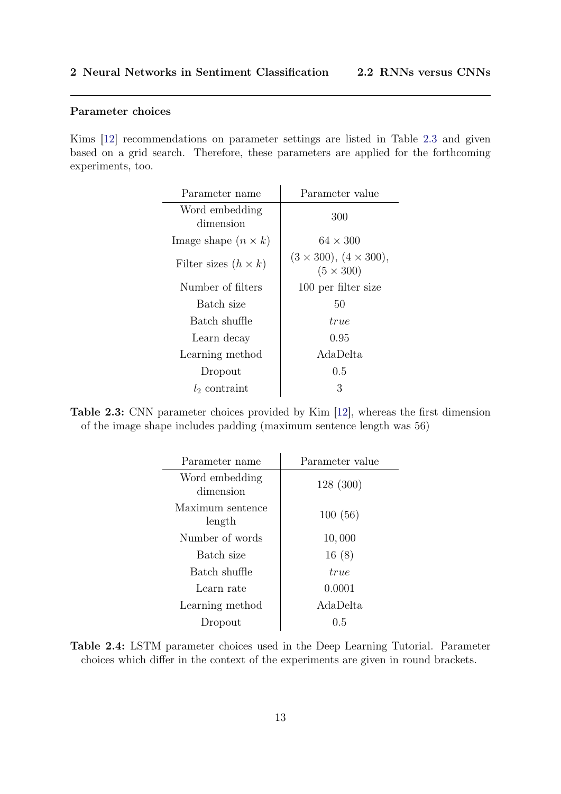#### Parameter choices

<span id="page-15-1"></span>Kims [\[12\]](#page-43-1) recommendations on parameter settings are listed in Table [2.3](#page-15-1) and given based on a grid search. Therefore, these parameters are applied for the forthcoming experiments, too.

| Parameter name              | Parameter value                                       |
|-----------------------------|-------------------------------------------------------|
| Word embedding<br>dimension | 300                                                   |
| Image shape $(n \times k)$  | $64 \times 300$                                       |
| Filter sizes $(h \times k)$ | $(3 \times 300), (4 \times 300),$<br>$(5 \times 300)$ |
| Number of filters           | 100 per filter size                                   |
| Batch size                  | 50                                                    |
| Batch shuffle               | true                                                  |
| Learn decay                 | 0.95                                                  |
| Learning method             | AdaDelta                                              |
| Dropout                     | 0.5                                                   |
| $l_2$ contraint             | 3                                                     |

<span id="page-15-0"></span>Table 2.3: CNN parameter choices provided by Kim [\[12\]](#page-43-1), whereas the first dimension of the image shape includes padding (maximum sentence length was 56)

| Parameter name              | Parameter value |
|-----------------------------|-----------------|
| Word embedding<br>dimension | 128 (300)       |
| Maximum sentence<br>length  | 100(56)         |
| Number of words             | 10,000          |
| Batch size                  | 16(8)           |
| Batch shuffle               | true            |
| Learn rate                  | 0.0001          |
| Learning method             | AdaDelta        |
| Dropout                     | 0.5             |

Table 2.4: LSTM parameter choices used in the Deep Learning Tutorial. Parameter choices which differ in the context of the experiments are given in round brackets.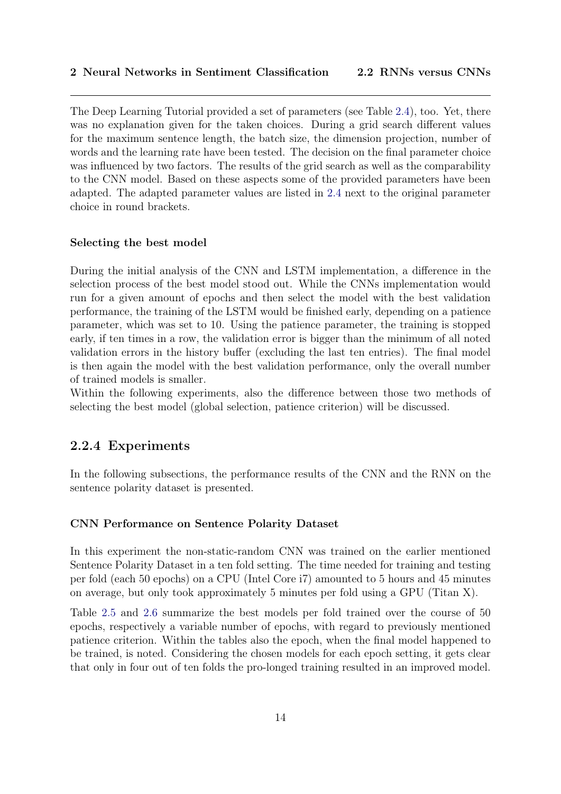The Deep Learning Tutorial provided a set of parameters (see Table [2.4\)](#page-15-0), too. Yet, there was no explanation given for the taken choices. During a grid search different values for the maximum sentence length, the batch size, the dimension projection, number of words and the learning rate have been tested. The decision on the final parameter choice was influenced by two factors. The results of the grid search as well as the comparability to the CNN model. Based on these aspects some of the provided parameters have been adapted. The adapted parameter values are listed in [2.4](#page-15-0) next to the original parameter choice in round brackets.

#### Selecting the best model

During the initial analysis of the CNN and LSTM implementation, a difference in the selection process of the best model stood out. While the CNNs implementation would run for a given amount of epochs and then select the model with the best validation performance, the training of the LSTM would be finished early, depending on a patience parameter, which was set to 10. Using the patience parameter, the training is stopped early, if ten times in a row, the validation error is bigger than the minimum of all noted validation errors in the history buffer (excluding the last ten entries). The final model is then again the model with the best validation performance, only the overall number of trained models is smaller.

<span id="page-16-0"></span>Within the following experiments, also the difference between those two methods of selecting the best model (global selection, patience criterion) will be discussed.

#### 2.2.4 Experiments

In the following subsections, the performance results of the CNN and the RNN on the sentence polarity dataset is presented.

#### CNN Performance on Sentence Polarity Dataset

In this experiment the non-static-random CNN was trained on the earlier mentioned Sentence Polarity Dataset in a ten fold setting. The time needed for training and testing per fold (each 50 epochs) on a CPU (Intel Core i7) amounted to 5 hours and 45 minutes on average, but only took approximately 5 minutes per fold using a GPU (Titan X).

Table [2.5](#page-17-0) and [2.6](#page-17-1) summarize the best models per fold trained over the course of 50 epochs, respectively a variable number of epochs, with regard to previously mentioned patience criterion. Within the tables also the epoch, when the final model happened to be trained, is noted. Considering the chosen models for each epoch setting, it gets clear that only in four out of ten folds the pro-longed training resulted in an improved model.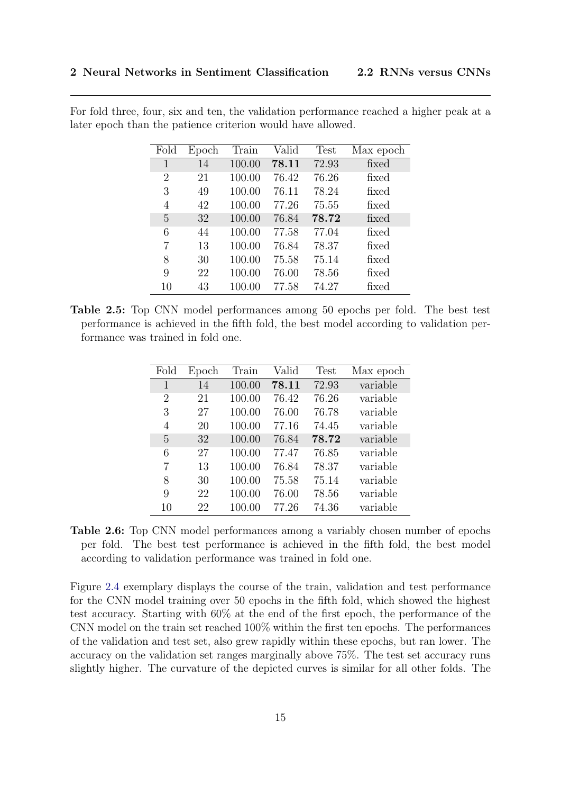| Fold           | Epoch | Train  | Valid | <b>Test</b> | Max epoch |
|----------------|-------|--------|-------|-------------|-----------|
| 1              | 14    | 100.00 | 78.11 | 72.93       | fixed     |
| $\overline{2}$ | 21    | 100.00 | 76.42 | 76.26       | fixed     |
| 3              | 49    | 100.00 | 76.11 | 78.24       | fixed     |
| 4              | 42    | 100.00 | 77.26 | 75.55       | fixed     |
| 5              | 32    | 100.00 | 76.84 | 78.72       | fixed     |
| 6              | 44    | 100.00 | 77.58 | 77.04       | fixed     |
| 7              | 13    | 100.00 | 76.84 | 78.37       | fixed     |
| 8              | 30    | 100.00 | 75.58 | 75.14       | fixed     |
| 9              | 22    | 100.00 | 76.00 | 78.56       | fixed     |
| 10             | 43    | 100.00 | 77.58 | 74.27       | fixed     |
|                |       |        |       |             |           |

<span id="page-17-0"></span>For fold three, four, six and ten, the validation performance reached a higher peak at a later epoch than the patience criterion would have allowed.

<span id="page-17-1"></span>Table 2.5: Top CNN model performances among 50 epochs per fold. The best test performance is achieved in the fifth fold, the best model according to validation performance was trained in fold one.

| Fold           | Epoch | Train  | Valid | Test  | Max epoch |
|----------------|-------|--------|-------|-------|-----------|
| 1              | 14    | 100.00 | 78.11 | 72.93 | variable  |
| $\overline{2}$ | 21    | 100.00 | 76.42 | 76.26 | variable  |
| 3              | 27    | 100.00 | 76.00 | 76.78 | variable  |
| 4              | 20    | 100.00 | 77.16 | 74.45 | variable  |
| 5              | 32    | 100.00 | 76.84 | 78.72 | variable  |
| 6              | 27    | 100.00 | 77.47 | 76.85 | variable  |
| 7              | 13    | 100.00 | 76.84 | 78.37 | variable  |
| 8              | 30    | 100.00 | 75.58 | 75.14 | variable  |
| 9              | 22    | 100.00 | 76.00 | 78.56 | variable  |
| 10             | 22    | 100.00 | 77.26 | 74.36 | variable  |

Table 2.6: Top CNN model performances among a variably chosen number of epochs per fold. The best test performance is achieved in the fifth fold, the best model according to validation performance was trained in fold one.

Figure [2.4](#page-19-0) exemplary displays the course of the train, validation and test performance for the CNN model training over 50 epochs in the fifth fold, which showed the highest test accuracy. Starting with 60% at the end of the first epoch, the performance of the CNN model on the train set reached 100% within the first ten epochs. The performances of the validation and test set, also grew rapidly within these epochs, but ran lower. The accuracy on the validation set ranges marginally above 75%. The test set accuracy runs slightly higher. The curvature of the depicted curves is similar for all other folds. The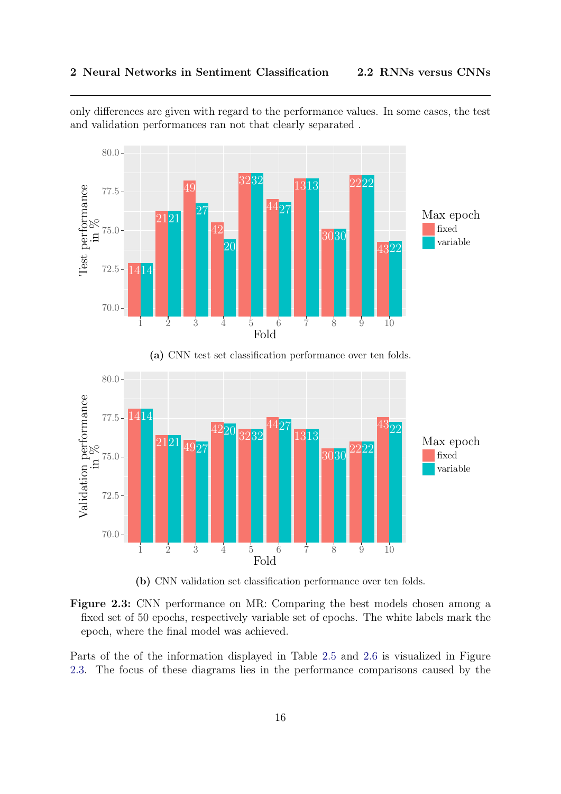only differences are given with regard to the performance values. In some cases, the test and validation performances ran not that clearly separated .

<span id="page-18-0"></span>

(a) CNN test set classification performance over ten folds.



(b) CNN validation set classification performance over ten folds.



Parts of the of the information displayed in Table [2.5](#page-17-0) and [2.6](#page-17-1) is visualized in Figure [2.3.](#page-18-0) The focus of these diagrams lies in the performance comparisons caused by the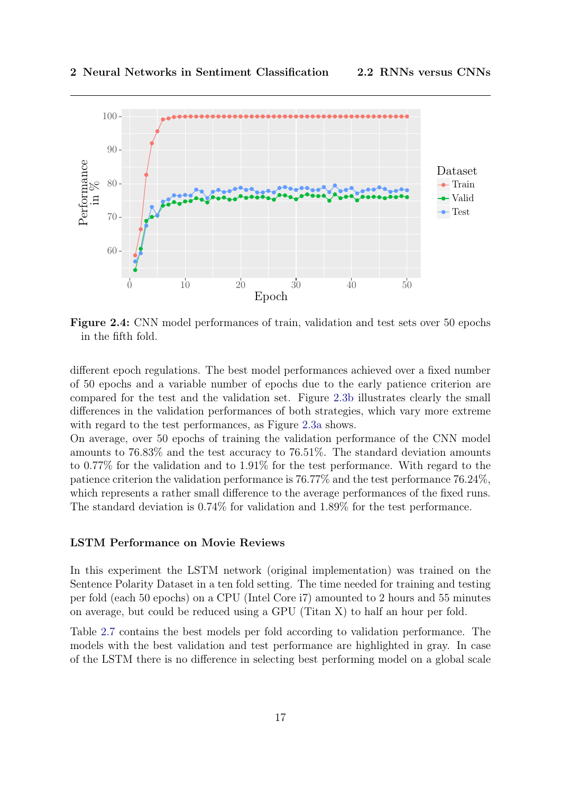<span id="page-19-0"></span>

Figure 2.4: CNN model performances of train, validation and test sets over 50 epochs in the fifth fold.

different epoch regulations. The best model performances achieved over a fixed number of 50 epochs and a variable number of epochs due to the early patience criterion are compared for the test and the validation set. Figure [2.3b](#page-18-0) illustrates clearly the small differences in the validation performances of both strategies, which vary more extreme with regard to the test performances, as Figure [2.3a](#page-18-0) shows.

On average, over 50 epochs of training the validation performance of the CNN model amounts to 76.83% and the test accuracy to 76.51%. The standard deviation amounts to 0.77% for the validation and to 1.91% for the test performance. With regard to the patience criterion the validation performance is 76.77% and the test performance 76.24%, which represents a rather small difference to the average performances of the fixed runs. The standard deviation is 0.74% for validation and 1.89% for the test performance.

#### LSTM Performance on Movie Reviews

In this experiment the LSTM network (original implementation) was trained on the Sentence Polarity Dataset in a ten fold setting. The time needed for training and testing per fold (each 50 epochs) on a CPU (Intel Core i7) amounted to 2 hours and 55 minutes on average, but could be reduced using a GPU (Titan X) to half an hour per fold.

Table [2.7](#page-20-0) contains the best models per fold according to validation performance. The models with the best validation and test performance are highlighted in gray. In case of the LSTM there is no difference in selecting best performing model on a global scale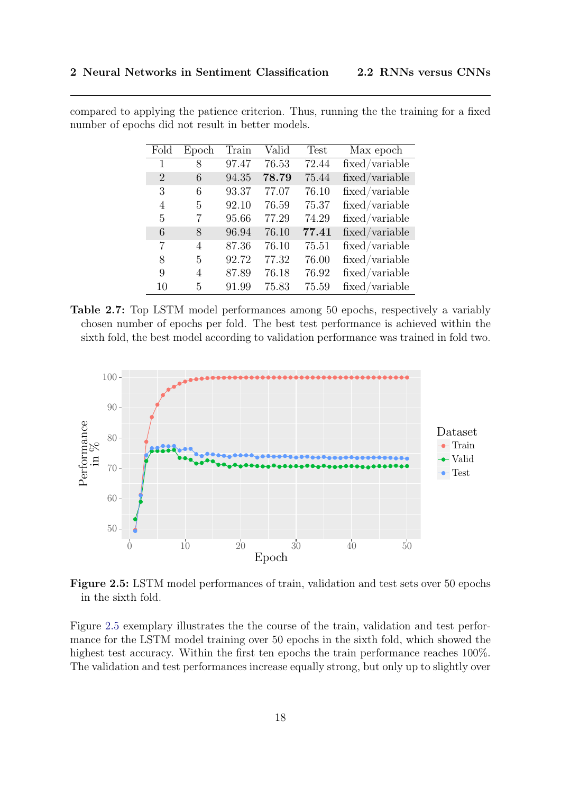| Fold           | Epoch | Train | Valid | <b>Test</b> | Max epoch                                      |
|----------------|-------|-------|-------|-------------|------------------------------------------------|
| 1              | 8     | 97.47 | 76.53 | 72.44       | fixed/variable                                 |
| $\overline{2}$ | 6     | 94.35 | 78.79 | 75.44       | fixed/variable                                 |
| 3              | 6     | 93.37 | 77.07 | 76.10       | fixed/variable                                 |
| 4              | 5     | 92.10 | 76.59 | 75.37       | fixed/variable                                 |
| 5              | 7     | 95.66 | 77.29 | 74.29       | fixed/variable                                 |
| 6              | 8     | 96.94 | 76.10 | 77.41       | fixed/variable                                 |
| 7              | 4     | 87.36 | 76.10 | 75.51       | fixed/variable                                 |
| 8              | 5     | 92.72 | 77.32 | 76.00       | $\operatorname{fixed}/\operatorname{variable}$ |
| 9              | 4     | 87.89 | 76.18 | 76.92       | fixed/variable                                 |
| 10             | 5     | 91.99 | 75.83 | 75.59       | fixed/variable                                 |

<span id="page-20-0"></span>compared to applying the patience criterion. Thus, running the the training for a fixed number of epochs did not result in better models.

Table 2.7: Top LSTM model performances among 50 epochs, respectively a variably chosen number of epochs per fold. The best test performance is achieved within the sixth fold, the best model according to validation performance was trained in fold two.

<span id="page-20-1"></span>

Figure 2.5: LSTM model performances of train, validation and test sets over 50 epochs in the sixth fold.

Figure [2.5](#page-20-1) exemplary illustrates the the course of the train, validation and test performance for the LSTM model training over 50 epochs in the sixth fold, which showed the highest test accuracy. Within the first ten epochs the train performance reaches 100%. The validation and test performances increase equally strong, but only up to slightly over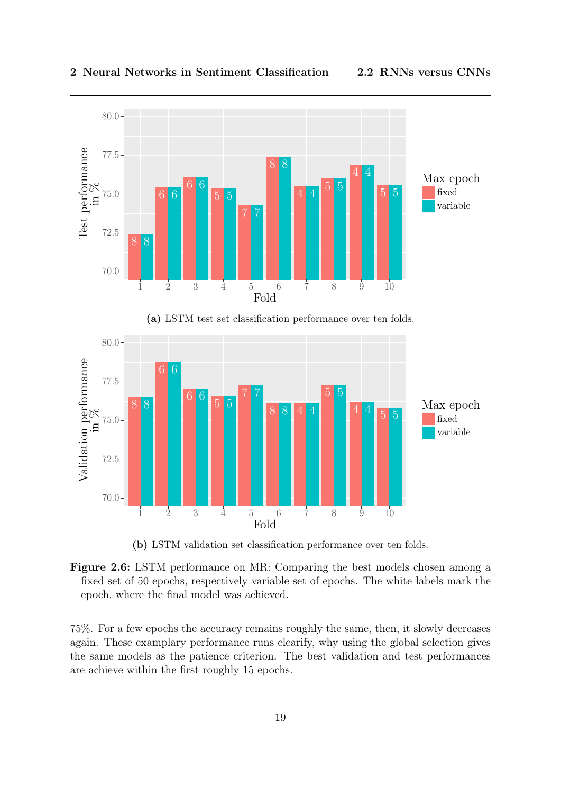<span id="page-21-0"></span>

(a) LSTM test set classification performance over ten folds.



(b) LSTM validation set classification performance over ten folds.

Figure 2.6: LSTM performance on MR: Comparing the best models chosen among a fixed set of 50 epochs, respectively variable set of epochs. The white labels mark the epoch, where the final model was achieved.

75%. For a few epochs the accuracy remains roughly the same, then, it slowly decreases again. These examplary performance runs clearify, why using the global selection gives the same models as the patience criterion. The best validation and test performances are achieve within the first roughly 15 epochs.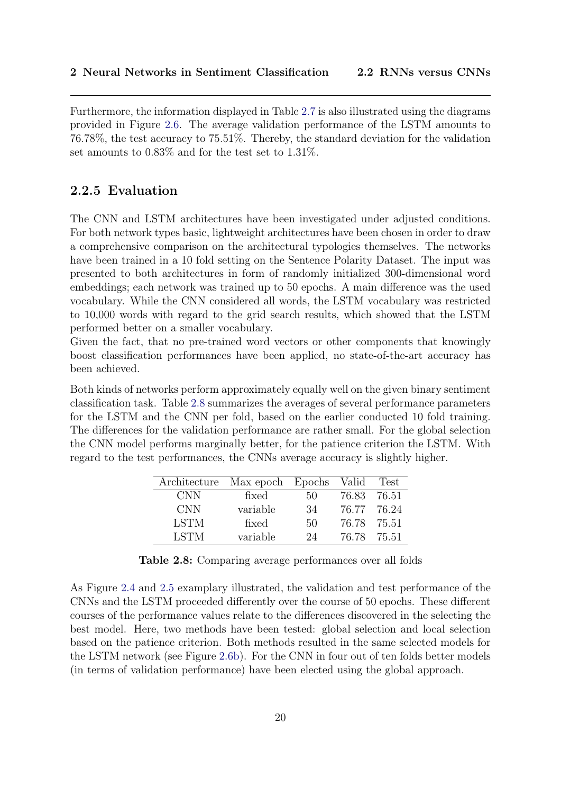Furthermore, the information displayed in Table [2.7](#page-20-0) is also illustrated using the diagrams provided in Figure [2.6.](#page-21-0) The average validation performance of the LSTM amounts to 76.78%, the test accuracy to 75.51%. Thereby, the standard deviation for the validation set amounts to 0.83% and for the test set to 1.31%.

#### <span id="page-22-0"></span>2.2.5 Evaluation

The CNN and LSTM architectures have been investigated under adjusted conditions. For both network types basic, lightweight architectures have been chosen in order to draw a comprehensive comparison on the architectural typologies themselves. The networks have been trained in a 10 fold setting on the Sentence Polarity Dataset. The input was presented to both architectures in form of randomly initialized 300-dimensional word embeddings; each network was trained up to 50 epochs. A main difference was the used vocabulary. While the CNN considered all words, the LSTM vocabulary was restricted to 10,000 words with regard to the grid search results, which showed that the LSTM performed better on a smaller vocabulary.

Given the fact, that no pre-trained word vectors or other components that knowingly boost classification performances have been applied, no state-of-the-art accuracy has been achieved.

<span id="page-22-1"></span>Both kinds of networks perform approximately equally well on the given binary sentiment classification task. Table [2.8](#page-22-1) summarizes the averages of several performance parameters for the LSTM and the CNN per fold, based on the earlier conducted 10 fold training. The differences for the validation performance are rather small. For the global selection the CNN model performs marginally better, for the patience criterion the LSTM. With regard to the test performances, the CNNs average accuracy is slightly higher.

| Architecture Max epoch Epochs |          |    | Valid       | Test  |
|-------------------------------|----------|----|-------------|-------|
| <b>CNN</b>                    | fixed    | 50 | 76.83       | 76.51 |
| <b>CNN</b>                    | variable | 34 | 76.77 76.24 |       |
| <b>LSTM</b>                   | fixed    | 50 | 76.78 75.51 |       |
| <b>LSTM</b>                   | variable | 24 | 76.78       | 75.51 |

Table 2.8: Comparing average performances over all folds

As Figure [2.4](#page-19-0) and [2.5](#page-20-1) examplary illustrated, the validation and test performance of the CNNs and the LSTM proceeded differently over the course of 50 epochs. These different courses of the performance values relate to the differences discovered in the selecting the best model. Here, two methods have been tested: global selection and local selection based on the patience criterion. Both methods resulted in the same selected models for the LSTM network (see Figure [2.6b\)](#page-21-0). For the CNN in four out of ten folds better models (in terms of validation performance) have been elected using the global approach.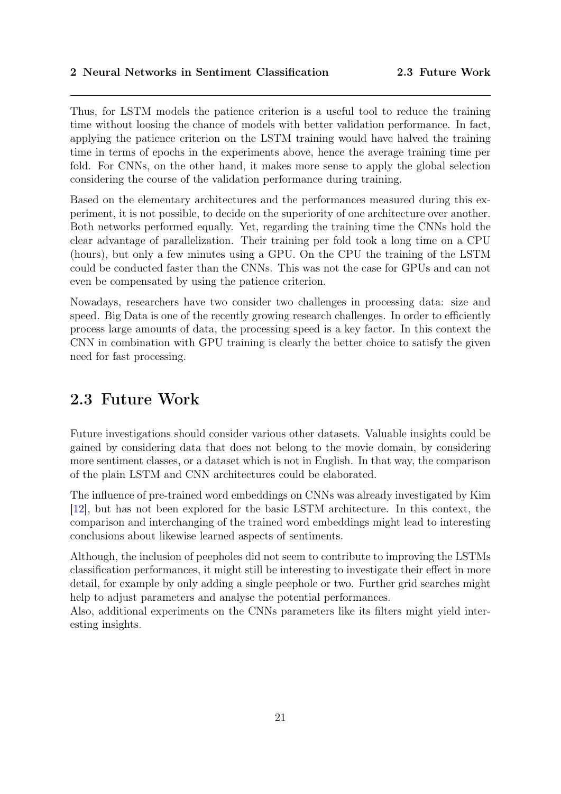Thus, for LSTM models the patience criterion is a useful tool to reduce the training time without loosing the chance of models with better validation performance. In fact, applying the patience criterion on the LSTM training would have halved the training time in terms of epochs in the experiments above, hence the average training time per fold. For CNNs, on the other hand, it makes more sense to apply the global selection considering the course of the validation performance during training.

Based on the elementary architectures and the performances measured during this experiment, it is not possible, to decide on the superiority of one architecture over another. Both networks performed equally. Yet, regarding the training time the CNNs hold the clear advantage of parallelization. Their training per fold took a long time on a CPU (hours), but only a few minutes using a GPU. On the CPU the training of the LSTM could be conducted faster than the CNNs. This was not the case for GPUs and can not even be compensated by using the patience criterion.

Nowadays, researchers have two consider two challenges in processing data: size and speed. Big Data is one of the recently growing research challenges. In order to efficiently process large amounts of data, the processing speed is a key factor. In this context the CNN in combination with GPU training is clearly the better choice to satisfy the given need for fast processing.

### <span id="page-23-0"></span>2.3 Future Work

Future investigations should consider various other datasets. Valuable insights could be gained by considering data that does not belong to the movie domain, by considering more sentiment classes, or a dataset which is not in English. In that way, the comparison of the plain LSTM and CNN architectures could be elaborated.

The influence of pre-trained word embeddings on CNNs was already investigated by Kim [\[12\]](#page-43-1), but has not been explored for the basic LSTM architecture. In this context, the comparison and interchanging of the trained word embeddings might lead to interesting conclusions about likewise learned aspects of sentiments.

Although, the inclusion of peepholes did not seem to contribute to improving the LSTMs classification performances, it might still be interesting to investigate their effect in more detail, for example by only adding a single peephole or two. Further grid searches might help to adjust parameters and analyse the potential performances.

Also, additional experiments on the CNNs parameters like its filters might yield interesting insights.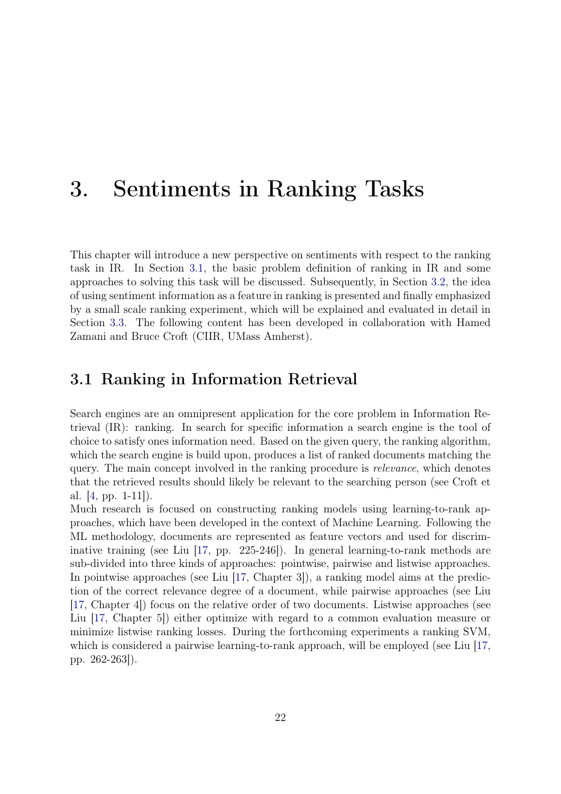### <span id="page-24-0"></span>3. Sentiments in Ranking Tasks

This chapter will introduce a new perspective on sentiments with respect to the ranking task in IR. In Section [3.1,](#page-24-1) the basic problem definition of ranking in IR and some approaches to solving this task will be discussed. Subsequently, in Section [3.2,](#page-24-2) the idea of using sentiment information as a feature in ranking is presented and finally emphasized by a small scale ranking experiment, which will be explained and evaluated in detail in Section [3.3.](#page-25-0) The following content has been developed in collaboration with Hamed Zamani and Bruce Croft (CIIR, UMass Amherst).

### <span id="page-24-1"></span>3.1 Ranking in Information Retrieval

Search engines are an omnipresent application for the core problem in Information Retrieval (IR): ranking. In search for specific information a search engine is the tool of choice to satisfy ones information need. Based on the given query, the ranking algorithm, which the search engine is build upon, produces a list of ranked documents matching the query. The main concept involved in the ranking procedure is *relevance*, which denotes that the retrieved results should likely be relevant to the searching person (see Croft et al.  $|4$ , pp. 1-11.

<span id="page-24-2"></span>Much research is focused on constructing ranking models using learning-to-rank approaches, which have been developed in the context of Machine Learning. Following the ML methodology, documents are represented as feature vectors and used for discriminative training (see Liu [\[17,](#page-43-8) pp. 225-246]). In general learning-to-rank methods are sub-divided into three kinds of approaches: pointwise, pairwise and listwise approaches. In pointwise approaches (see Liu [\[17,](#page-43-8) Chapter 3]), a ranking model aims at the prediction of the correct relevance degree of a document, while pairwise approaches (see Liu [\[17,](#page-43-8) Chapter 4]) focus on the relative order of two documents. Listwise approaches (see Liu [\[17,](#page-43-8) Chapter 5]) either optimize with regard to a common evaluation measure or minimize listwise ranking losses. During the forthcoming experiments a ranking SVM, which is considered a pairwise learning-to-rank approach, will be employed (see Liu [\[17,](#page-43-8) pp. 262-263]).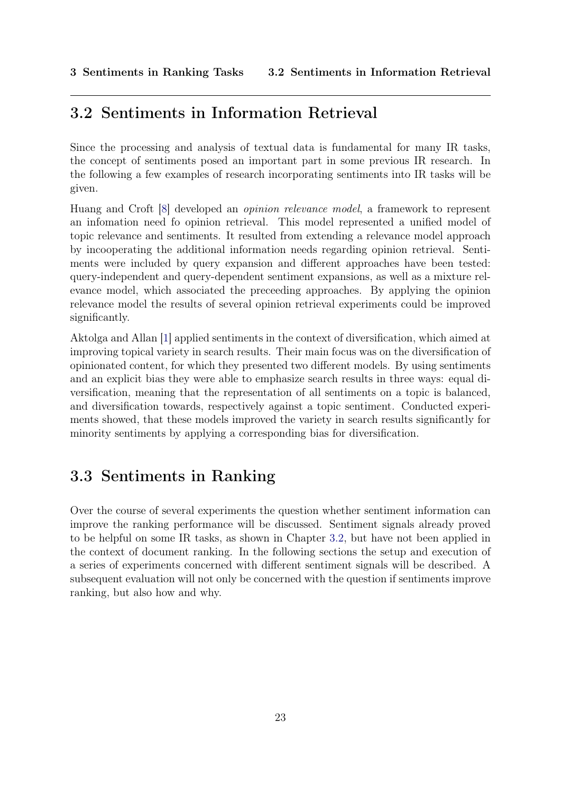### 3.2 Sentiments in Information Retrieval

Since the processing and analysis of textual data is fundamental for many IR tasks, the concept of sentiments posed an important part in some previous IR research. In the following a few examples of research incorporating sentiments into IR tasks will be given.

Huang and Croft [\[8\]](#page-42-5) developed an opinion relevance model, a framework to represent an infomation need fo opinion retrieval. This model represented a unified model of topic relevance and sentiments. It resulted from extending a relevance model approach by incooperating the additional information needs regarding opinion retrieval. Sentiments were included by query expansion and different approaches have been tested: query-independent and query-dependent sentiment expansions, as well as a mixture relevance model, which associated the preceeding approaches. By applying the opinion relevance model the results of several opinion retrieval experiments could be improved significantly.

Aktolga and Allan [\[1\]](#page-42-6) applied sentiments in the context of diversification, which aimed at improving topical variety in search results. Their main focus was on the diversification of opinionated content, for which they presented two different models. By using sentiments and an explicit bias they were able to emphasize search results in three ways: equal diversification, meaning that the representation of all sentiments on a topic is balanced, and diversification towards, respectively against a topic sentiment. Conducted experiments showed, that these models improved the variety in search results significantly for minority sentiments by applying a corresponding bias for diversification.

### <span id="page-25-0"></span>3.3 Sentiments in Ranking

<span id="page-25-1"></span>Over the course of several experiments the question whether sentiment information can improve the ranking performance will be discussed. Sentiment signals already proved to be helpful on some IR tasks, as shown in Chapter [3.2,](#page-24-2) but have not been applied in the context of document ranking. In the following sections the setup and execution of a series of experiments concerned with different sentiment signals will be described. A subsequent evaluation will not only be concerned with the question if sentiments improve ranking, but also how and why.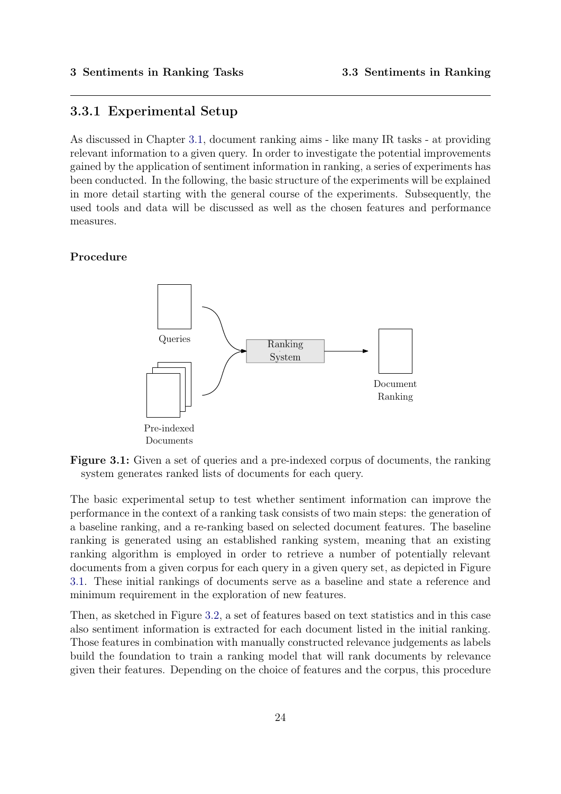#### 3.3.1 Experimental Setup

As discussed in Chapter [3.1,](#page-24-1) document ranking aims - like many IR tasks - at providing relevant information to a given query. In order to investigate the potential improvements gained by the application of sentiment information in ranking, a series of experiments has been conducted. In the following, the basic structure of the experiments will be explained in more detail starting with the general course of the experiments. Subsequently, the used tools and data will be discussed as well as the chosen features and performance measures.

#### <span id="page-26-0"></span>Procedure



Figure 3.1: Given a set of queries and a pre-indexed corpus of documents, the ranking system generates ranked lists of documents for each query.

The basic experimental setup to test whether sentiment information can improve the performance in the context of a ranking task consists of two main steps: the generation of a baseline ranking, and a re-ranking based on selected document features. The baseline ranking is generated using an established ranking system, meaning that an existing ranking algorithm is employed in order to retrieve a number of potentially relevant documents from a given corpus for each query in a given query set, as depicted in Figure [3.1.](#page-26-0) These initial rankings of documents serve as a baseline and state a reference and minimum requirement in the exploration of new features.

Then, as sketched in Figure [3.2,](#page-27-0) a set of features based on text statistics and in this case also sentiment information is extracted for each document listed in the initial ranking. Those features in combination with manually constructed relevance judgements as labels build the foundation to train a ranking model that will rank documents by relevance given their features. Depending on the choice of features and the corpus, this procedure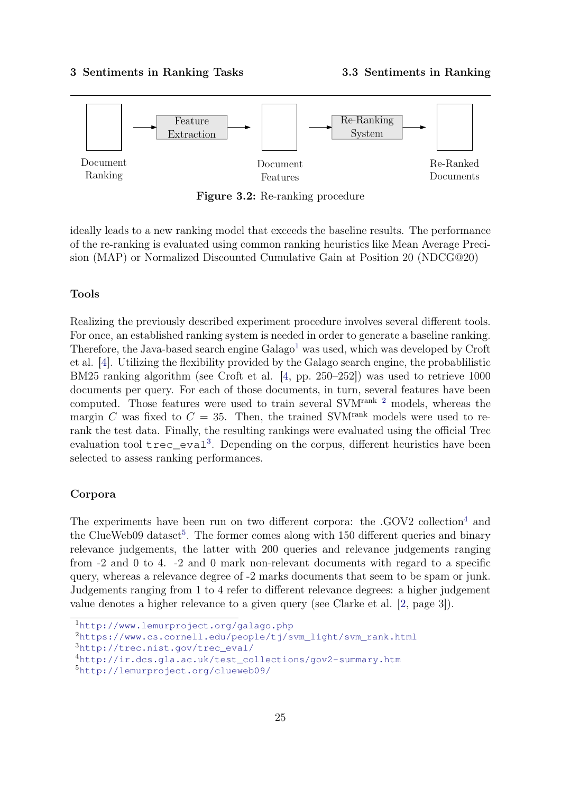<span id="page-27-0"></span>

Figure 3.2: Re-ranking procedure

ideally leads to a new ranking model that exceeds the baseline results. The performance of the re-ranking is evaluated using common ranking heuristics like Mean Average Precision (MAP) or Normalized Discounted Cumulative Gain at Position 20 (NDCG@20)

#### Tools

Realizing the previously described experiment procedure involves several different tools. For once, an established ranking system is needed in order to generate a baseline ranking. Therefore, the Java-based search engine  $Galago<sup>1</sup>$  $Galago<sup>1</sup>$  $Galago<sup>1</sup>$  was used, which was developed by Croft et al. [\[4\]](#page-42-4). Utilizing the flexibility provided by the Galago search engine, the probablilistic BM25 ranking algorithm (see Croft et al. [\[4,](#page-42-4) pp. 250–252]) was used to retrieve 1000 documents per query. For each of those documents, in turn, several features have been computed. Those features were used to train several SVMrank [2](#page-27-2) models, whereas the margin C was fixed to  $C = 35$ . Then, the trained SVM<sup>rank</sup> models were used to rerank the test data. Finally, the resulting rankings were evaluated using the official Trec evaluation tool trec\_eval<sup>[3](#page-27-3)</sup>. Depending on the corpus, different heuristics have been selected to assess ranking performances.

#### Corpora

The experiments have been run on two different corpora: the  $. GOV2$  collection<sup>[4](#page-27-4)</sup> and the ClueWeb09 dataset<sup>[5](#page-27-5)</sup>. The former comes along with 150 different queries and binary relevance judgements, the latter with 200 queries and relevance judgements ranging from -2 and 0 to 4. -2 and 0 mark non-relevant documents with regard to a specific query, whereas a relevance degree of -2 marks documents that seem to be spam or junk. Judgements ranging from 1 to 4 refer to different relevance degrees: a higher judgement value denotes a higher relevance to a given query (see Clarke et al. [\[2,](#page-42-7) page 3]).

<span id="page-27-1"></span><sup>1</sup><http://www.lemurproject.org/galago.php>

<span id="page-27-2"></span><sup>2</sup>[https://www.cs.cornell.edu/people/tj/svm\\_light/svm\\_rank.html](https://www.cs.cornell.edu/people/tj/svm_light/svm_rank.html)

<span id="page-27-3"></span><sup>3</sup>[http://trec.nist.gov/trec\\_eval/](http://trec.nist.gov/trec_eval/)

<span id="page-27-4"></span><sup>4</sup>[http://ir.dcs.gla.ac.uk/test\\_collections/gov2-summary.htm](http://ir.dcs.gla.ac.uk/test_collections/gov2-summary.htm)

<span id="page-27-5"></span><sup>5</sup><http://lemurproject.org/clueweb09/>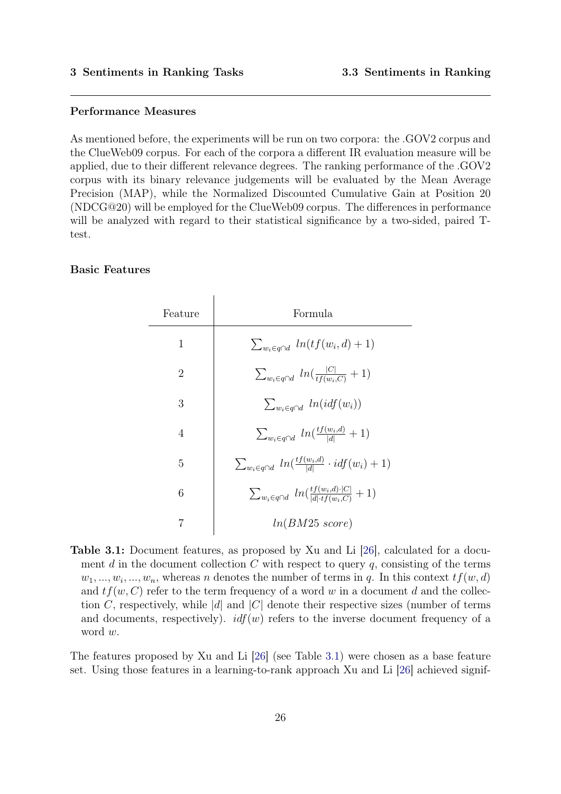#### Performance Measures

As mentioned before, the experiments will be run on two corpora: the .GOV2 corpus and the ClueWeb09 corpus. For each of the corpora a different IR evaluation measure will be applied, due to their different relevance degrees. The ranking performance of the .GOV2 corpus with its binary relevance judgements will be evaluated by the Mean Average Precision (MAP), while the Normalized Discounted Cumulative Gain at Position 20 (NDCG@20) will be employed for the ClueWeb09 corpus. The differences in performance will be analyzed with regard to their statistical significance by a two-sided, paired  $T$ test.

#### <span id="page-28-0"></span>Basic Features

| Feature        | Formula                                                                           |
|----------------|-----------------------------------------------------------------------------------|
| 1              | $\sum_{w_i \in q \cap d} ln(tf(w_i, d) + 1)$                                      |
| $\overline{2}$ | $\sum_{w_i \in q \cap d} ln(\frac{ C }{tf(w_i.C)} + 1)$                           |
| 3              | $\sum_{w_i \in a \cap d} ln(idf(w_i))$                                            |
| $\overline{4}$ | $\sum_{w_i \in q \cap d} ln(\frac{t f(w_i, d)}{ d } + 1)$                         |
| 5              | $\sum_{w_i \in q \cap d} ln(\frac{tf(w_i, d)}{ d } \cdot idf(w_i) + 1)$           |
| 6              | $\sum_{w_i \in q \cap d} ln(\frac{tf(w_i,d) \cdot  C }{ d  \cdot tf(w_i.C)} + 1)$ |
|                | $ln(BM25 \; score)$                                                               |

Table 3.1: Document features, as proposed by Xu and Li [\[26\]](#page-44-8), calculated for a document d in the document collection  $C$  with respect to query  $q$ , consisting of the terms  $w_1, ..., w_i, ..., w_n$ , whereas n denotes the number of terms in q. In this context  $tf(w, d)$ and  $tf(w, C)$  refer to the term frequency of a word w in a document d and the collection C, respectively, while |d| and  $|C|$  denote their respective sizes (number of terms and documents, respectively).  $\mathcal{U}(w)$  refers to the inverse document frequency of a word w.

The features proposed by Xu and Li [\[26\]](#page-44-8) (see Table [3.1\)](#page-28-0) were chosen as a base feature set. Using those features in a learning-to-rank approach Xu and Li [\[26\]](#page-44-8) achieved signif-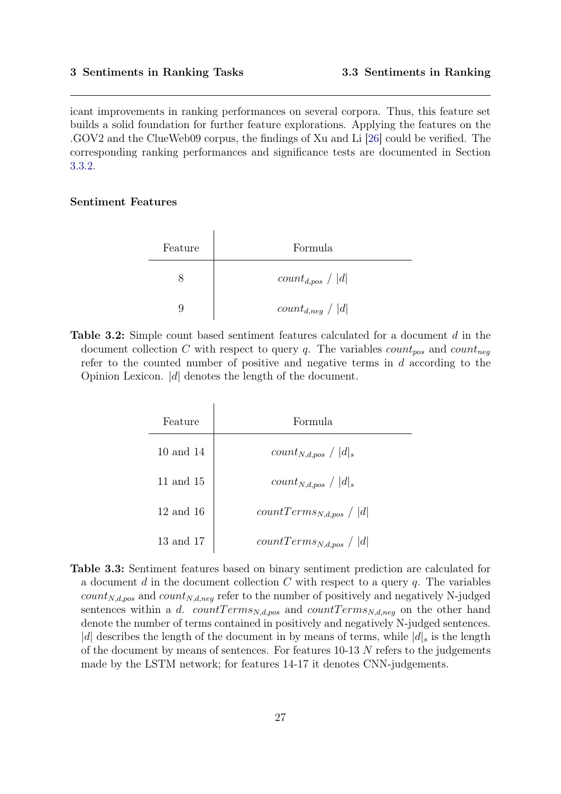icant improvements in ranking performances on several corpora. Thus, this feature set builds a solid foundation for further feature explorations. Applying the features on the .GOV2 and the ClueWeb09 corpus, the findings of Xu and Li [\[26\]](#page-44-8) could be verified. The corresponding ranking performances and significance tests are documented in Section [3.3.2.](#page-30-0)

#### <span id="page-29-0"></span>Sentiment Features

| Feature | Formula               |
|---------|-----------------------|
|         | $count_{d,pos} /  d $ |
|         | $count_{d,neg} /  d $ |

<span id="page-29-1"></span>Table 3.2: Simple count based sentiment features calculated for a document d in the document collection C with respect to query q. The variables  $count_{pos}$  and  $count_{neg}$ refer to the counted number of positive and negative terms in d according to the Opinion Lexicon. |d| denotes the length of the document.

 $\overline{1}$ 

| Feature       | Formula                      |
|---------------|------------------------------|
| 10 and 14     | $count_{N,d,pos} /  d _s$    |
| 11 and 15     | $count_{N,d,pos} /  d _s$    |
| $12$ and $16$ | $countTerms_{N,d,pos} /  d $ |
| 13 and 17     | $countTerms_{N,d,pos} /  d $ |

Table 3.3: Sentiment features based on binary sentiment prediction are calculated for a document d in the document collection  $C$  with respect to a query  $q$ . The variables  $count_{N,d,pos}$  and  $count_{N,d,neg}$  refer to the number of positively and negatively N-judged sentences within a d. countTerms<sub>N,d,pos</sub> and countTerms<sub>N,d,neg</sub> on the other hand denote the number of terms contained in positively and negatively N-judged sentences. |d| describes the length of the document in by means of terms, while  $|d|_s$  is the length of the document by means of sentences. For features  $10-13$  N refers to the judgements made by the LSTM network; for features 14-17 it denotes CNN-judgements.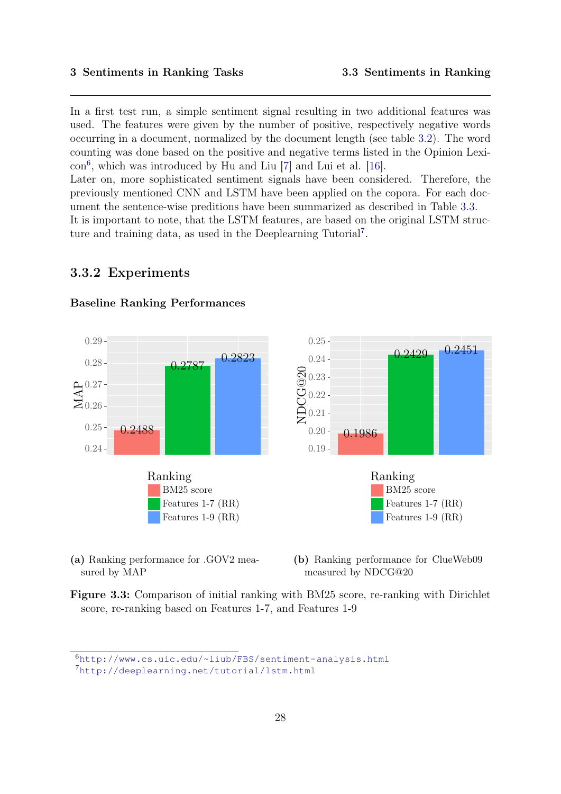In a first test run, a simple sentiment signal resulting in two additional features was used. The features were given by the number of positive, respectively negative words occurring in a document, normalized by the document length (see table [3.2\)](#page-29-0). The word counting was done based on the positive and negative terms listed in the Opinion Lexicon[6](#page-30-1) , which was introduced by Hu and Liu [\[7\]](#page-42-8) and Lui et al. [\[16\]](#page-43-9).

Later on, more sophisticated sentiment signals have been considered. Therefore, the previously mentioned CNN and LSTM have been applied on the copora. For each document the sentence-wise preditions have been summarized as described in Table [3.3.](#page-29-1)

<span id="page-30-0"></span>It is important to note, that the LSTM features, are based on the original LSTM struc-ture and training data, as used in the Deeplearning Tutorial<sup>[7](#page-30-2)</sup>.

#### 3.3.2 Experiments

<span id="page-30-3"></span>

#### Baseline Ranking Performances

(a) Ranking performance for .GOV2 measured by MAP

(b) Ranking performance for ClueWeb09 measured by NDCG@20

Figure 3.3: Comparison of initial ranking with BM25 score, re-ranking with Dirichlet score, re-ranking based on Features 1-7, and Features 1-9

<span id="page-30-1"></span><sup>6</sup><http://www.cs.uic.edu/~liub/FBS/sentiment-analysis.html>

<span id="page-30-2"></span><sup>7</sup><http://deeplearning.net/tutorial/lstm.html>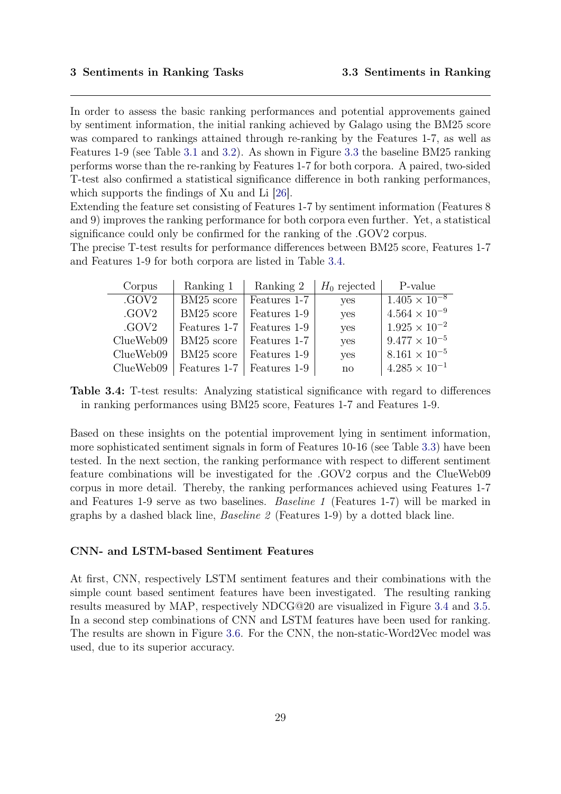In order to assess the basic ranking performances and potential approvements gained by sentiment information, the initial ranking achieved by Galago using the BM25 score was compared to rankings attained through re-ranking by the Features 1-7, as well as Features 1-9 (see Table [3.1](#page-28-0) and [3.2\)](#page-29-0). As shown in Figure [3.3](#page-30-3) the baseline BM25 ranking performs worse than the re-ranking by Features 1-7 for both corpora. A paired, two-sided T-test also confirmed a statistical significance difference in both ranking performances, which supports the findings of Xu and Li [\[26\]](#page-44-8).

Extending the feature set consisting of Features 1-7 by sentiment information (Features 8 and 9) improves the ranking performance for both corpora even further. Yet, a statistical significance could only be confirmed for the ranking of the .GOV2 corpus.

<span id="page-31-0"></span>The precise T-test results for performance differences between BM25 score, Features 1-7 and Features 1-9 for both corpora are listed in Table [3.4.](#page-31-0)

| Corpus    | Ranking 1    | Ranking 2    | $H_0$ rejected | P-value                |
|-----------|--------------|--------------|----------------|------------------------|
| .GOV2     | BM25 score   | Features 1-7 | yes            | $1.405 \times 10^{-8}$ |
| .GOV2     | BM25 score   | Features 1-9 | yes            | $4.564 \times 10^{-9}$ |
| .GOV2     | Features 1-7 | Features 1-9 | yes            | $1.925 \times 10^{-2}$ |
| ClueWeb09 | BM25 score   | Features 1-7 | yes            | $9.477 \times 10^{-5}$ |
| ClueWeb09 | BM25 score   | Features 1-9 | yes            | $8.161 \times 10^{-5}$ |
| ClueWeb09 | Features 1-7 | Features 1-9 | $\mathbf{n}$   | $4.285 \times 10^{-1}$ |

Table 3.4: T-test results: Analyzing statistical significance with regard to differences in ranking performances using BM25 score, Features 1-7 and Features 1-9.

Based on these insights on the potential improvement lying in sentiment information, more sophisticated sentiment signals in form of Features 10-16 (see Table [3.3\)](#page-29-1) have been tested. In the next section, the ranking performance with respect to different sentiment feature combinations will be investigated for the .GOV2 corpus and the ClueWeb09 corpus in more detail. Thereby, the ranking performances achieved using Features 1-7 and Features 1-9 serve as two baselines. Baseline 1 (Features 1-7) will be marked in graphs by a dashed black line, *Baseline 2* (Features 1-9) by a dotted black line.

#### CNN- and LSTM-based Sentiment Features

At first, CNN, respectively LSTM sentiment features and their combinations with the simple count based sentiment features have been investigated. The resulting ranking results measured by MAP, respectively NDCG@20 are visualized in Figure [3.4](#page-32-0) and [3.5.](#page-33-0) In a second step combinations of CNN and LSTM features have been used for ranking. The results are shown in Figure [3.6.](#page-34-0) For the CNN, the non-static-Word2Vec model was used, due to its superior accuracy.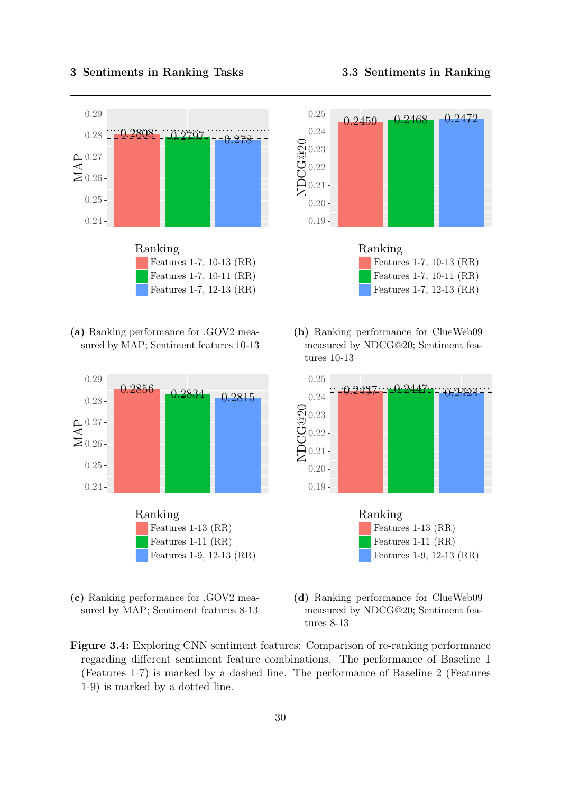

<span id="page-32-0"></span>





(c) Ranking performance for .GOV2 measured by MAP; Sentiment features 8-13





(b) Ranking performance for ClueWeb09 measured by NDCG@20; Sentiment features 10-13





- (d) Ranking performance for ClueWeb09 measured by NDCG@20; Sentiment features 8-13
- Figure 3.4: Exploring CNN sentiment features: Comparison of re-ranking performance regarding different sentiment feature combinations. The performance of Baseline 1 (Features 1-7) is marked by a dashed line. The performance of Baseline 2 (Features 1-9) is marked by a dotted line.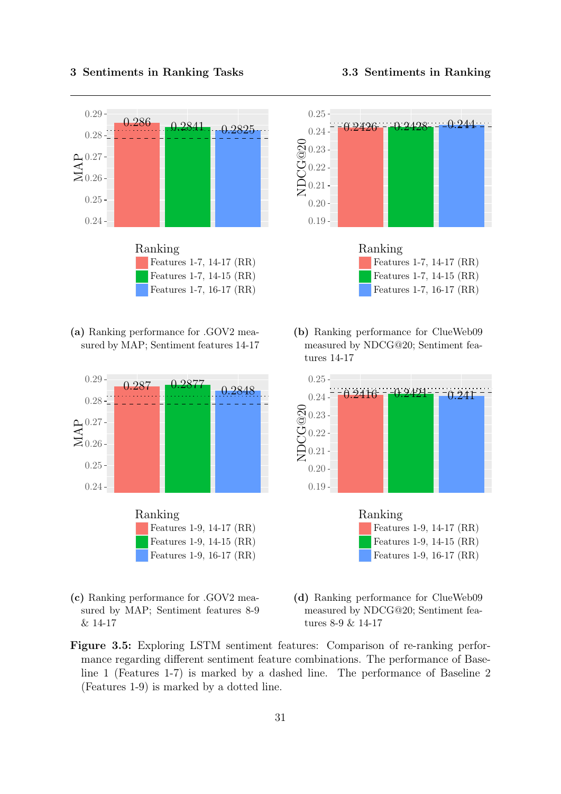

<span id="page-33-0"></span>

(a) Ranking performance for .GOV2 measured by MAP; Sentiment features 14-17



(c) Ranking performance for .GOV2 measured by MAP; Sentiment features 8-9 & 14-17





(b) Ranking performance for ClueWeb09 measured by NDCG@20; Sentiment features 14-17



- (d) Ranking performance for ClueWeb09 measured by NDCG@20; Sentiment features 8-9 & 14-17
- Figure 3.5: Exploring LSTM sentiment features: Comparison of re-ranking performance regarding different sentiment feature combinations. The performance of Baseline 1 (Features 1-7) is marked by a dashed line. The performance of Baseline 2 (Features 1-9) is marked by a dotted line.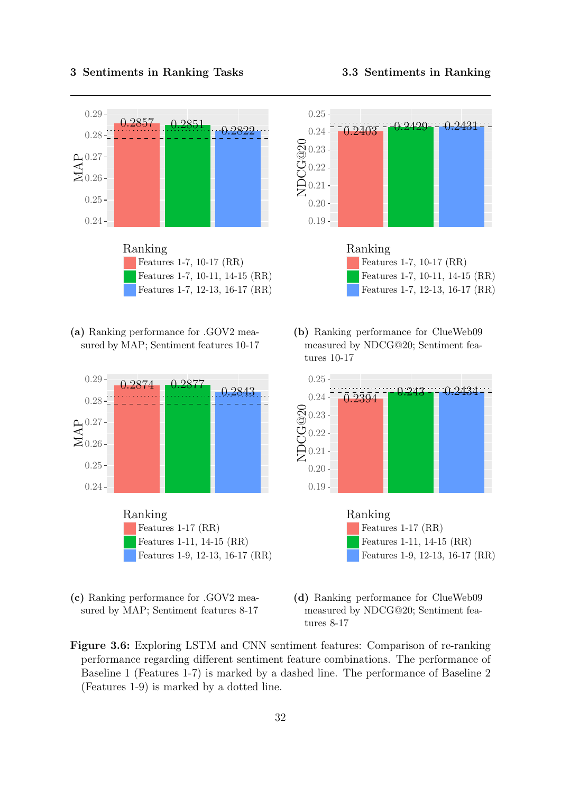<span id="page-34-0"></span>

(a) Ranking performance for .GOV2 measured by MAP; Sentiment features 10-17



(c) Ranking performance for .GOV2 measured by MAP; Sentiment features 8-17







(b) Ranking performance for ClueWeb09 measured by NDCG@20; Sentiment features 10-17





- (d) Ranking performance for ClueWeb09 measured by NDCG@20; Sentiment features 8-17
- Figure 3.6: Exploring LSTM and CNN sentiment features: Comparison of re-ranking performance regarding different sentiment feature combinations. The performance of Baseline 1 (Features 1-7) is marked by a dashed line. The performance of Baseline 2 (Features 1-9) is marked by a dotted line.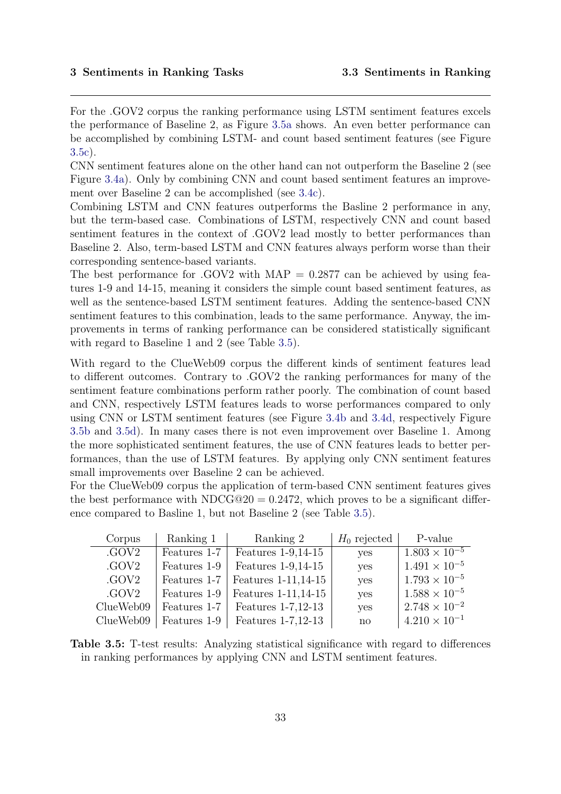For the .GOV2 corpus the ranking performance using LSTM sentiment features excels the performance of Baseline 2, as Figure [3.5a](#page-33-0) shows. An even better performance can be accomplished by combining LSTM- and count based sentiment features (see Figure [3.5c\)](#page-33-0).

CNN sentiment features alone on the other hand can not outperform the Baseline 2 (see Figure [3.4a\)](#page-32-0). Only by combining CNN and count based sentiment features an improvement over Baseline 2 can be accomplished (see [3.4c\)](#page-32-0).

Combining LSTM and CNN features outperforms the Basline 2 performance in any, but the term-based case. Combinations of LSTM, respectively CNN and count based sentiment features in the context of .GOV2 lead mostly to better performances than Baseline 2. Also, term-based LSTM and CNN features always perform worse than their corresponding sentence-based variants.

The best performance for .GOV2 with  $MAP = 0.2877$  can be achieved by using features 1-9 and 14-15, meaning it considers the simple count based sentiment features, as well as the sentence-based LSTM sentiment features. Adding the sentence-based CNN sentiment features to this combination, leads to the same performance. Anyway, the improvements in terms of ranking performance can be considered statistically significant with regard to Baseline 1 and 2 (see Table [3.5\)](#page-35-1).

With regard to the ClueWeb09 corpus the different kinds of sentiment features lead to different outcomes. Contrary to .GOV2 the ranking performances for many of the sentiment feature combinations perform rather poorly. The combination of count based and CNN, respectively LSTM features leads to worse performances compared to only using CNN or LSTM sentiment features (see Figure [3.4b](#page-32-0) and [3.4d,](#page-32-0) respectively Figure [3.5b](#page-33-0) and [3.5d\)](#page-33-0). In many cases there is not even improvement over Baseline 1. Among the more sophisticated sentiment features, the use of CNN features leads to better performances, than the use of LSTM features. By applying only CNN sentiment features small improvements over Baseline 2 can be achieved.

For the ClueWeb09 corpus the application of term-based CNN sentiment features gives the best performance with NDCG $@20 = 0.2472$ , which proves to be a significant difference compared to Basline 1, but not Baseline 2 (see Table [3.5\)](#page-35-1).

<span id="page-35-1"></span>

| Corpus    | Ranking 1    | Ranking 2            | $H_0$ rejected | P-value                |
|-----------|--------------|----------------------|----------------|------------------------|
| .GOV2     | Features 1-7 | Features 1-9, 14-15  | yes            | $1.803 \times 10^{-5}$ |
| .GOV2     | Features 1-9 | Features 1-9, 14-15  | yes            | $1.491 \times 10^{-5}$ |
| .GOV2     | Features 1-7 | Features 1-11, 14-15 | yes            | $1.793 \times 10^{-5}$ |
| .GOV2     | Features 1-9 | Features 1-11, 14-15 | yes            | $1.588 \times 10^{-5}$ |
| ClueWeb09 | Features 1-7 | Features 1-7,12-13   | yes            | $2.748 \times 10^{-2}$ |
| ClueWeb09 | Features 1-9 | Features 1-7,12-13   | $\mathbf{n}$   | $4.210 \times 10^{-1}$ |

<span id="page-35-0"></span>Table 3.5: T-test results: Analyzing statistical significance with regard to differences in ranking performances by applying CNN and LSTM sentiment features.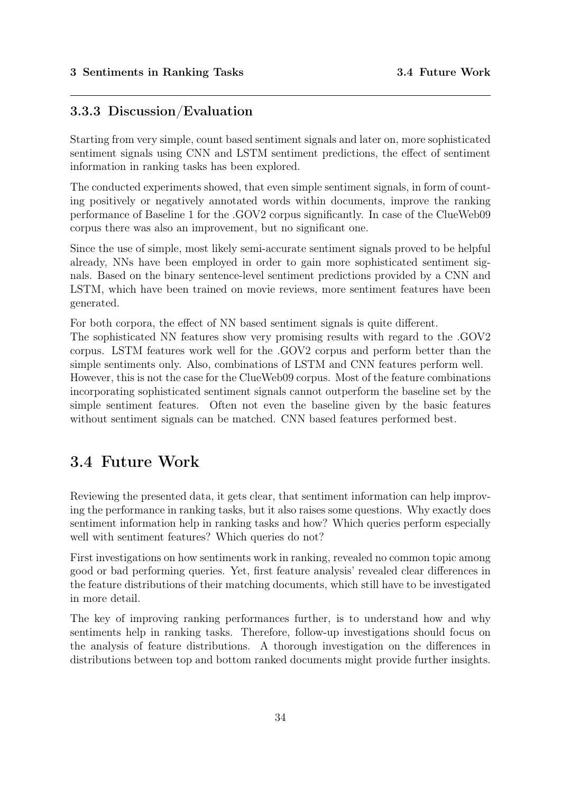#### 3.3.3 Discussion/Evaluation

Starting from very simple, count based sentiment signals and later on, more sophisticated sentiment signals using CNN and LSTM sentiment predictions, the effect of sentiment information in ranking tasks has been explored.

The conducted experiments showed, that even simple sentiment signals, in form of counting positively or negatively annotated words within documents, improve the ranking performance of Baseline 1 for the .GOV2 corpus significantly. In case of the ClueWeb09 corpus there was also an improvement, but no significant one.

Since the use of simple, most likely semi-accurate sentiment signals proved to be helpful already, NNs have been employed in order to gain more sophisticated sentiment signals. Based on the binary sentence-level sentiment predictions provided by a CNN and LSTM, which have been trained on movie reviews, more sentiment features have been generated.

For both corpora, the effect of NN based sentiment signals is quite different.

The sophisticated NN features show very promising results with regard to the .GOV2 corpus. LSTM features work well for the .GOV2 corpus and perform better than the simple sentiments only. Also, combinations of LSTM and CNN features perform well. However, this is not the case for the ClueWeb09 corpus. Most of the feature combinations incorporating sophisticated sentiment signals cannot outperform the baseline set by the simple sentiment features. Often not even the baseline given by the basic features without sentiment signals can be matched. CNN based features performed best.

### <span id="page-36-0"></span>3.4 Future Work

Reviewing the presented data, it gets clear, that sentiment information can help improving the performance in ranking tasks, but it also raises some questions. Why exactly does sentiment information help in ranking tasks and how? Which queries perform especially well with sentiment features? Which queries do not?

First investigations on how sentiments work in ranking, revealed no common topic among good or bad performing queries. Yet, first feature analysis' revealed clear differences in the feature distributions of their matching documents, which still have to be investigated in more detail.

The key of improving ranking performances further, is to understand how and why sentiments help in ranking tasks. Therefore, follow-up investigations should focus on the analysis of feature distributions. A thorough investigation on the differences in distributions between top and bottom ranked documents might provide further insights.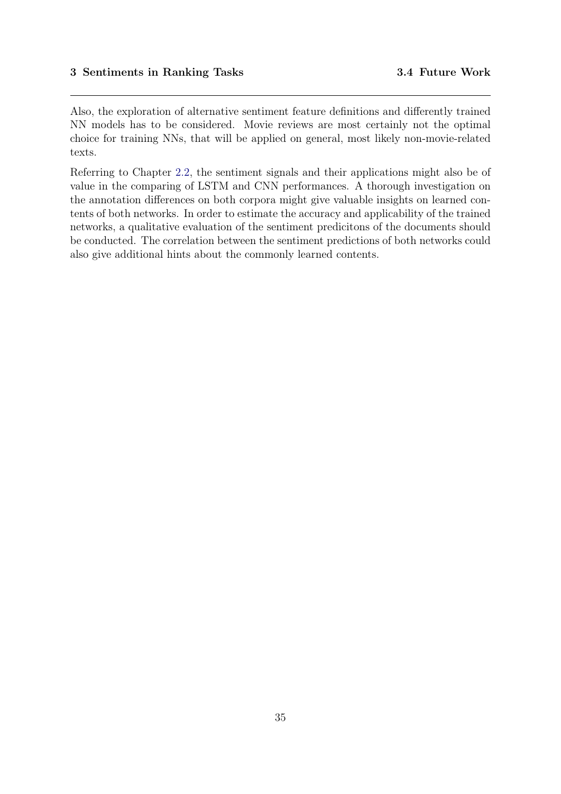Also, the exploration of alternative sentiment feature definitions and differently trained NN models has to be considered. Movie reviews are most certainly not the optimal choice for training NNs, that will be applied on general, most likely non-movie-related texts.

Referring to Chapter [2.2,](#page-9-0) the sentiment signals and their applications might also be of value in the comparing of LSTM and CNN performances. A thorough investigation on the annotation differences on both corpora might give valuable insights on learned contents of both networks. In order to estimate the accuracy and applicability of the trained networks, a qualitative evaluation of the sentiment predicitons of the documents should be conducted. The correlation between the sentiment predictions of both networks could also give additional hints about the commonly learned contents.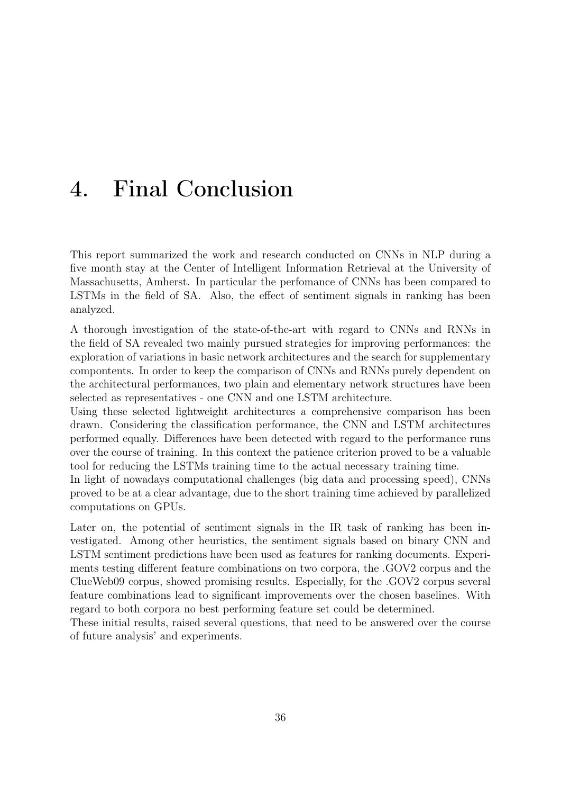## <span id="page-38-0"></span>4. Final Conclusion

This report summarized the work and research conducted on CNNs in NLP during a five month stay at the Center of Intelligent Information Retrieval at the University of Massachusetts, Amherst. In particular the perfomance of CNNs has been compared to LSTMs in the field of SA. Also, the effect of sentiment signals in ranking has been analyzed.

A thorough investigation of the state-of-the-art with regard to CNNs and RNNs in the field of SA revealed two mainly pursued strategies for improving performances: the exploration of variations in basic network architectures and the search for supplementary compontents. In order to keep the comparison of CNNs and RNNs purely dependent on the architectural performances, two plain and elementary network structures have been selected as representatives - one CNN and one LSTM architecture.

Using these selected lightweight architectures a comprehensive comparison has been drawn. Considering the classification performance, the CNN and LSTM architectures performed equally. Differences have been detected with regard to the performance runs over the course of training. In this context the patience criterion proved to be a valuable tool for reducing the LSTMs training time to the actual necessary training time.

In light of nowadays computational challenges (big data and processing speed), CNNs proved to be at a clear advantage, due to the short training time achieved by parallelized computations on GPUs.

Later on, the potential of sentiment signals in the IR task of ranking has been investigated. Among other heuristics, the sentiment signals based on binary CNN and LSTM sentiment predictions have been used as features for ranking documents. Experiments testing different feature combinations on two corpora, the .GOV2 corpus and the ClueWeb09 corpus, showed promising results. Especially, for the .GOV2 corpus several feature combinations lead to significant improvements over the chosen baselines. With regard to both corpora no best performing feature set could be determined.

These initial results, raised several questions, that need to be answered over the course of future analysis' and experiments.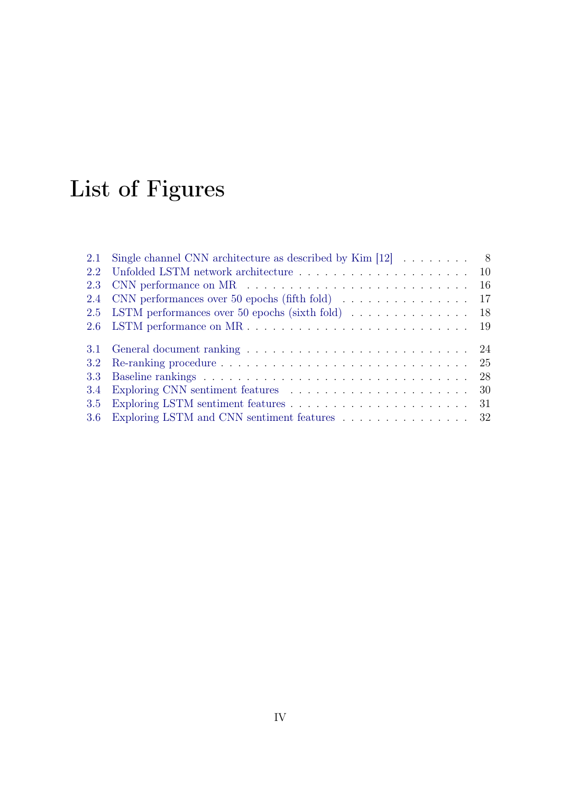# <span id="page-39-0"></span>List of Figures

| 2.1 | Single channel CNN architecture as described by Kim $[12] \ldots \ldots \ldots$ 8       |  |
|-----|-----------------------------------------------------------------------------------------|--|
|     |                                                                                         |  |
| 2.3 |                                                                                         |  |
|     | 2.4 CNN performances over 50 epochs (fifth fold) 17                                     |  |
|     | 2.5 LSTM performances over 50 epochs (sixth fold) 18                                    |  |
|     |                                                                                         |  |
|     |                                                                                         |  |
|     |                                                                                         |  |
| 3.3 |                                                                                         |  |
| 3.4 |                                                                                         |  |
| 3.5 | Exploring LSTM sentiment features $\ldots \ldots \ldots \ldots \ldots \ldots \ldots 31$ |  |
|     | 3.6 Exploring LSTM and CNN sentiment features 32                                        |  |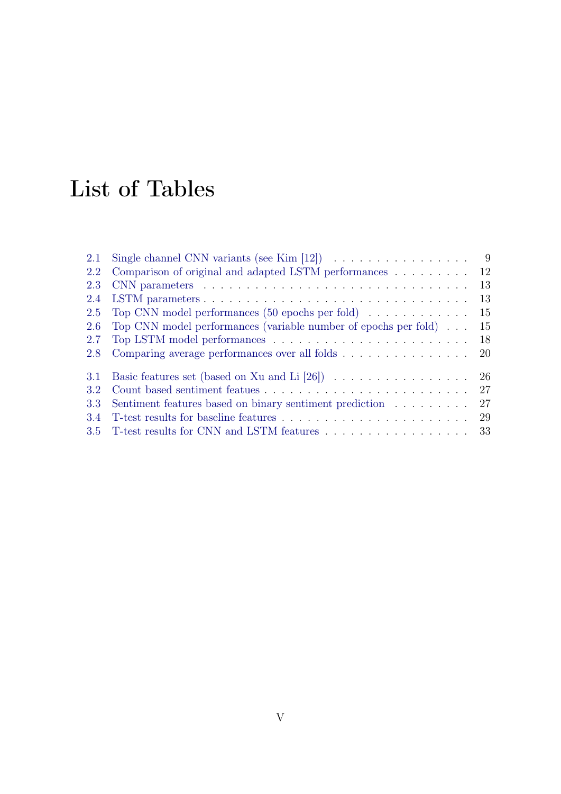## <span id="page-40-0"></span>List of Tables

| 2.1 | Single channel CNN variants (see Kim [12]) $\ldots \ldots \ldots \ldots \ldots$      | -9 |
|-----|--------------------------------------------------------------------------------------|----|
| 2.2 | Comparison of original and adapted LSTM performances                                 | 12 |
| 2.3 |                                                                                      | 13 |
| 2.4 | LSTM parameters                                                                      | 13 |
| 2.5 | Top CNN model performances $(50 \text{ epochs per fold}) \dots \dots \dots \dots$    | 15 |
| 2.6 | Top CNN model performances (variable number of epochs per fold) $\dots$              | 15 |
| 2.7 |                                                                                      | 18 |
| 2.8 | Comparing average performances over all folds                                        | 20 |
| 3.1 | Basic features set (based on Xu and Li [26]) $\ldots \ldots \ldots \ldots \ldots$ 26 |    |
| 3.2 |                                                                                      | 27 |
| 3.3 | Sentiment features based on binary sentiment prediction                              | 27 |
| 3.4 |                                                                                      |    |
|     | 3.5 T-test results for CNN and LSTM features 33                                      |    |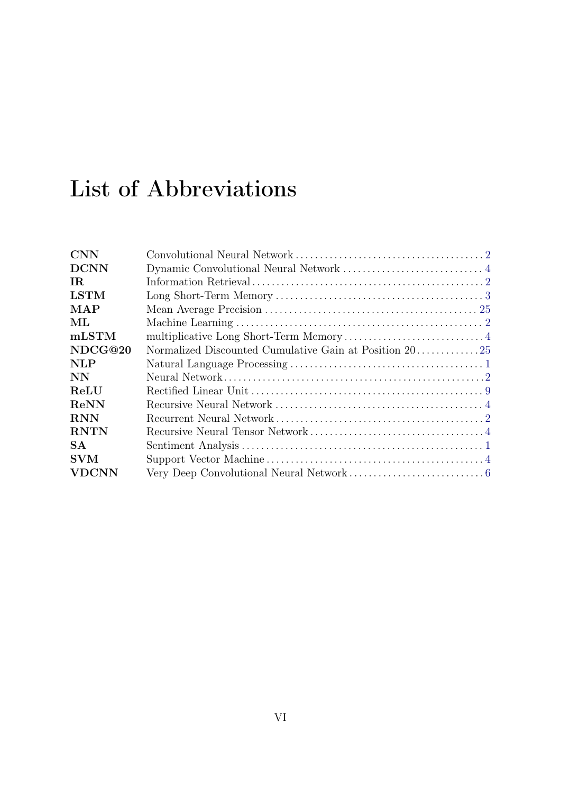## List of Abbreviations

| <b>CNN</b>     |  |
|----------------|--|
| <b>DCNN</b>    |  |
| IR.            |  |
| <b>LSTM</b>    |  |
| $\mathbf{MAP}$ |  |
| ML             |  |
| mLSTM          |  |
| NDCG@20        |  |
| <b>NLP</b>     |  |
| <b>NN</b>      |  |
| ReLU           |  |
| ReNN           |  |
| <b>RNN</b>     |  |
| <b>RNTN</b>    |  |
| <b>SA</b>      |  |
| <b>SVM</b>     |  |
| VDCNN          |  |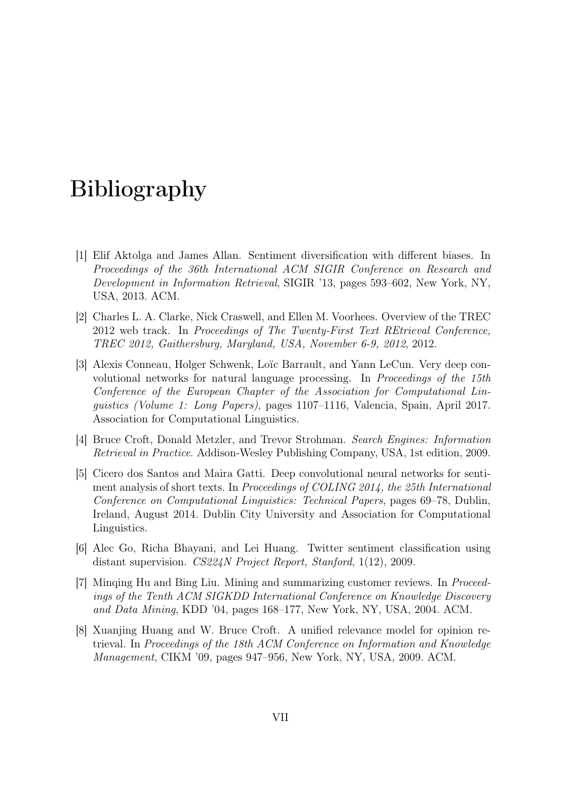## <span id="page-42-0"></span>Bibliography

- <span id="page-42-6"></span>[1] Elif Aktolga and James Allan. Sentiment diversification with different biases. In Proceedings of the 36th International ACM SIGIR Conference on Research and Development in Information Retrieval, SIGIR '13, pages 593–602, New York, NY, USA, 2013. ACM.
- <span id="page-42-7"></span>[2] Charles L. A. Clarke, Nick Craswell, and Ellen M. Voorhees. Overview of the TREC 2012 web track. In Proceedings of The Twenty-First Text REtrieval Conference, TREC 2012, Gaithersburg, Maryland, USA, November 6-9, 2012, 2012.
- <span id="page-42-3"></span>[3] Alexis Conneau, Holger Schwenk, Loïc Barrault, and Yann LeCun. Very deep convolutional networks for natural language processing. In Proceedings of the 15th Conference of the European Chapter of the Association for Computational Linguistics (Volume 1: Long Papers), pages 1107–1116, Valencia, Spain, April 2017. Association for Computational Linguistics.
- <span id="page-42-4"></span>[4] Bruce Croft, Donald Metzler, and Trevor Strohman. Search Engines: Information Retrieval in Practice. Addison-Wesley Publishing Company, USA, 1st edition, 2009.
- <span id="page-42-1"></span>[5] Cicero dos Santos and Maira Gatti. Deep convolutional neural networks for sentiment analysis of short texts. In Proceedings of COLING 2014, the 25th International Conference on Computational Linguistics: Technical Papers, pages 69–78, Dublin, Ireland, August 2014. Dublin City University and Association for Computational Linguistics.
- <span id="page-42-2"></span>[6] Alec Go, Richa Bhayani, and Lei Huang. Twitter sentiment classification using distant supervision. CS224N Project Report, Stanford, 1(12), 2009.
- <span id="page-42-8"></span>[7] Minqing Hu and Bing Liu. Mining and summarizing customer reviews. In Proceedings of the Tenth ACM SIGKDD International Conference on Knowledge Discovery and Data Mining, KDD '04, pages 168–177, New York, NY, USA, 2004. ACM.
- <span id="page-42-5"></span>[8] Xuanjing Huang and W. Bruce Croft. A unified relevance model for opinion retrieval. In Proceedings of the 18th ACM Conference on Information and Knowledge Management, CIKM '09, pages 947–956, New York, NY, USA, 2009. ACM.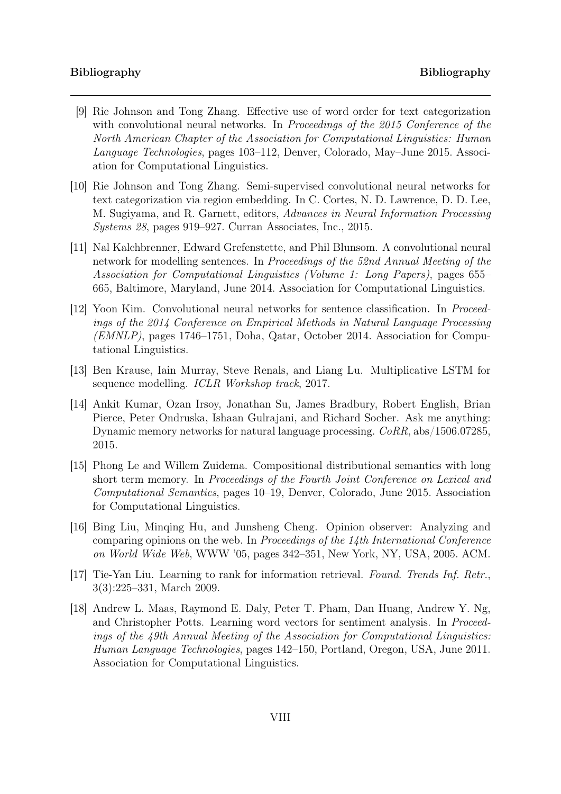#### Bibliography Bibliography

- <span id="page-43-5"></span>[9] Rie Johnson and Tong Zhang. Effective use of word order for text categorization with convolutional neural networks. In Proceedings of the 2015 Conference of the North American Chapter of the Association for Computational Linguistics: Human Language Technologies, pages 103–112, Denver, Colorado, May–June 2015. Association for Computational Linguistics.
- <span id="page-43-6"></span>[10] Rie Johnson and Tong Zhang. Semi-supervised convolutional neural networks for text categorization via region embedding. In C. Cortes, N. D. Lawrence, D. D. Lee, M. Sugiyama, and R. Garnett, editors, Advances in Neural Information Processing Systems 28, pages 919–927. Curran Associates, Inc., 2015.
- <span id="page-43-2"></span>[11] Nal Kalchbrenner, Edward Grefenstette, and Phil Blunsom. A convolutional neural network for modelling sentences. In Proceedings of the 52nd Annual Meeting of the Association for Computational Linguistics (Volume 1: Long Papers), pages 655– 665, Baltimore, Maryland, June 2014. Association for Computational Linguistics.
- <span id="page-43-1"></span>[12] Yoon Kim. Convolutional neural networks for sentence classification. In Proceedings of the 2014 Conference on Empirical Methods in Natural Language Processing (EMNLP), pages 1746–1751, Doha, Qatar, October 2014. Association for Computational Linguistics.
- <span id="page-43-3"></span>[13] Ben Krause, Iain Murray, Steve Renals, and Liang Lu. Multiplicative LSTM for sequence modelling. ICLR Workshop track, 2017.
- <span id="page-43-4"></span>[14] Ankit Kumar, Ozan Irsoy, Jonathan Su, James Bradbury, Robert English, Brian Pierce, Peter Ondruska, Ishaan Gulrajani, and Richard Socher. Ask me anything: Dynamic memory networks for natural language processing. CoRR, abs/1506.07285, 2015.
- <span id="page-43-0"></span>[15] Phong Le and Willem Zuidema. Compositional distributional semantics with long short term memory. In Proceedings of the Fourth Joint Conference on Lexical and Computational Semantics, pages 10–19, Denver, Colorado, June 2015. Association for Computational Linguistics.
- <span id="page-43-9"></span>[16] Bing Liu, Minqing Hu, and Junsheng Cheng. Opinion observer: Analyzing and comparing opinions on the web. In Proceedings of the 14th International Conference on World Wide Web, WWW '05, pages 342–351, New York, NY, USA, 2005. ACM.
- <span id="page-43-8"></span>[17] Tie-Yan Liu. Learning to rank for information retrieval. Found. Trends Inf. Retr., 3(3):225–331, March 2009.
- <span id="page-43-7"></span>[18] Andrew L. Maas, Raymond E. Daly, Peter T. Pham, Dan Huang, Andrew Y. Ng, and Christopher Potts. Learning word vectors for sentiment analysis. In Proceedings of the 49th Annual Meeting of the Association for Computational Linguistics: Human Language Technologies, pages 142–150, Portland, Oregon, USA, June 2011. Association for Computational Linguistics.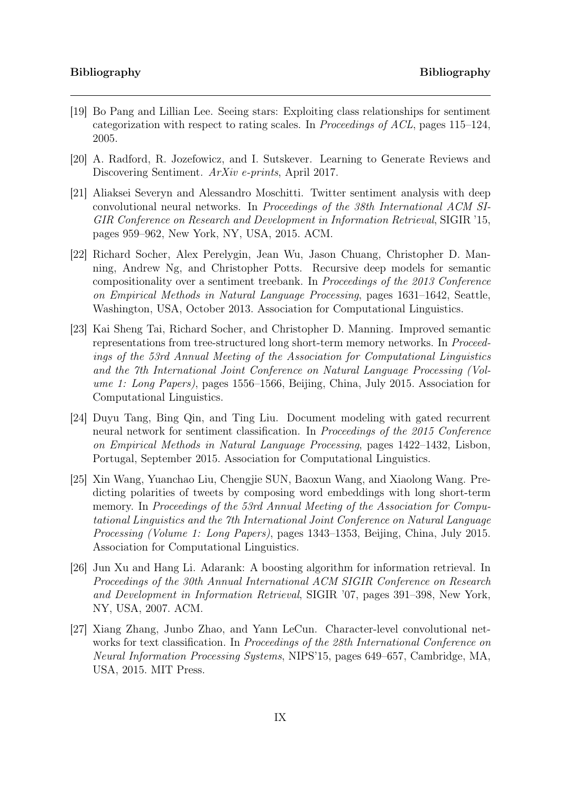- <span id="page-44-7"></span>[19] Bo Pang and Lillian Lee. Seeing stars: Exploiting class relationships for sentiment categorization with respect to rating scales. In *Proceedings of ACL*, pages  $115-124$ , 2005.
- <span id="page-44-4"></span>[20] A. Radford, R. Jozefowicz, and I. Sutskever. Learning to Generate Reviews and Discovering Sentiment. ArXiv e-prints, April 2017.
- <span id="page-44-5"></span>[21] Aliaksei Severyn and Alessandro Moschitti. Twitter sentiment analysis with deep convolutional neural networks. In Proceedings of the 38th International ACM SI-GIR Conference on Research and Development in Information Retrieval, SIGIR '15, pages 959–962, New York, NY, USA, 2015. ACM.
- <span id="page-44-1"></span>[22] Richard Socher, Alex Perelygin, Jean Wu, Jason Chuang, Christopher D. Manning, Andrew Ng, and Christopher Potts. Recursive deep models for semantic compositionality over a sentiment treebank. In Proceedings of the 2013 Conference on Empirical Methods in Natural Language Processing, pages 1631–1642, Seattle, Washington, USA, October 2013. Association for Computational Linguistics.
- <span id="page-44-0"></span>[23] Kai Sheng Tai, Richard Socher, and Christopher D. Manning. Improved semantic representations from tree-structured long short-term memory networks. In Proceedings of the 53rd Annual Meeting of the Association for Computational Linguistics and the 7th International Joint Conference on Natural Language Processing (Volume 1: Long Papers), pages 1556–1566, Beijing, China, July 2015. Association for Computational Linguistics.
- <span id="page-44-2"></span>[24] Duyu Tang, Bing Qin, and Ting Liu. Document modeling with gated recurrent neural network for sentiment classification. In Proceedings of the 2015 Conference on Empirical Methods in Natural Language Processing, pages 1422–1432, Lisbon, Portugal, September 2015. Association for Computational Linguistics.
- <span id="page-44-3"></span>[25] Xin Wang, Yuanchao Liu, Chengjie SUN, Baoxun Wang, and Xiaolong Wang. Predicting polarities of tweets by composing word embeddings with long short-term memory. In Proceedings of the 53rd Annual Meeting of the Association for Computational Linguistics and the 7th International Joint Conference on Natural Language Processing (Volume 1: Long Papers), pages 1343–1353, Beijing, China, July 2015. Association for Computational Linguistics.
- <span id="page-44-8"></span>[26] Jun Xu and Hang Li. Adarank: A boosting algorithm for information retrieval. In Proceedings of the 30th Annual International ACM SIGIR Conference on Research and Development in Information Retrieval, SIGIR '07, pages 391–398, New York, NY, USA, 2007. ACM.
- <span id="page-44-6"></span>[27] Xiang Zhang, Junbo Zhao, and Yann LeCun. Character-level convolutional networks for text classification. In Proceedings of the 28th International Conference on Neural Information Processing Systems, NIPS'15, pages 649–657, Cambridge, MA, USA, 2015. MIT Press.